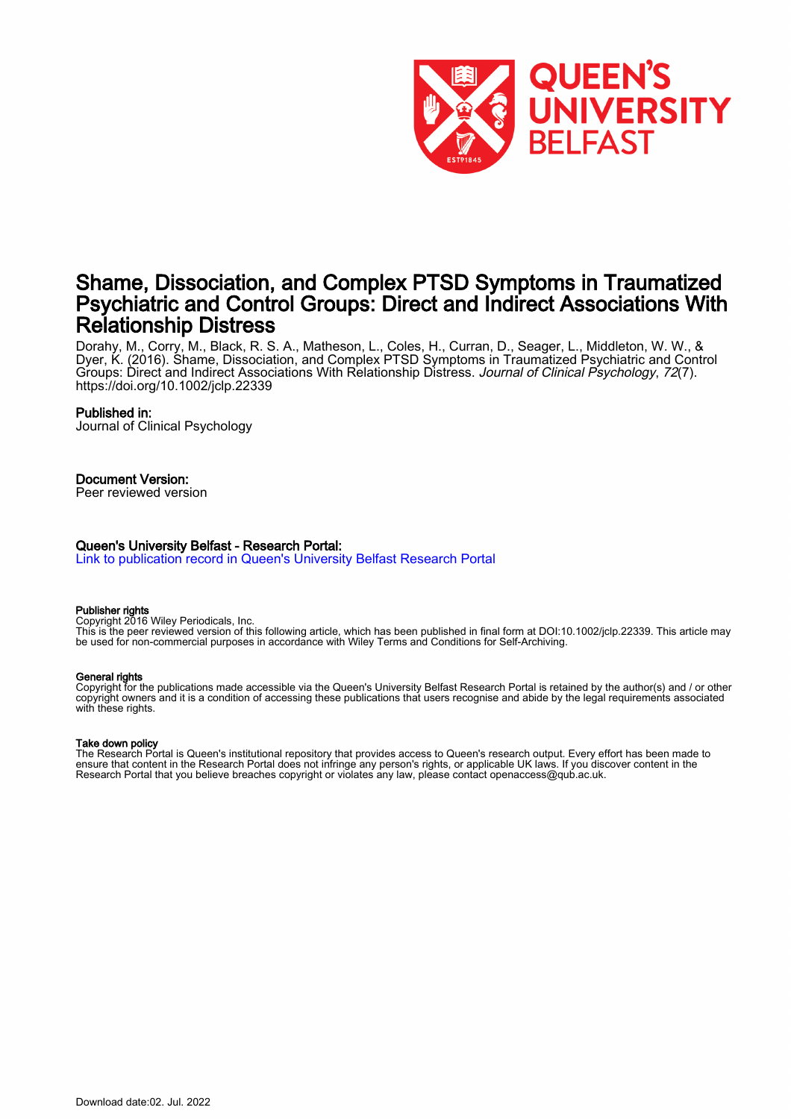

# Shame, Dissociation, and Complex PTSD Symptoms in Traumatized Psychiatric and Control Groups: Direct and Indirect Associations With Relationship Distress

Dorahy, M., Corry, M., Black, R. S. A., Matheson, L., Coles, H., Curran, D., Seager, L., Middleton, W. W., & Dyer, K. (2016). Shame, Dissociation, and Complex PTSD Symptoms in Traumatized Psychiatric and Control Groups: Direct and Indirect Associations With Relationship Distress. Journal of Clinical Psychology, 72(7). <https://doi.org/10.1002/jclp.22339>

## Published in:

Journal of Clinical Psychology

## Document Version:

Peer reviewed version

#### Queen's University Belfast - Research Portal:

[Link to publication record in Queen's University Belfast Research Portal](https://pure.qub.ac.uk/en/publications/3d436b9f-dbb5-40c2-b81d-7f030983cb4e)

#### Publisher rights

Copyright 2016 Wiley Periodicals, Inc.

This is the peer reviewed version of this following article, which has been published in final form at DOI:10.1002/jclp.22339. This article may be used for non-commercial purposes in accordance with Wiley Terms and Conditions for Self-Archiving.

#### General rights

Copyright for the publications made accessible via the Queen's University Belfast Research Portal is retained by the author(s) and / or other copyright owners and it is a condition of accessing these publications that users recognise and abide by the legal requirements associated with these rights.

#### Take down policy

The Research Portal is Queen's institutional repository that provides access to Queen's research output. Every effort has been made to ensure that content in the Research Portal does not infringe any person's rights, or applicable UK laws. If you discover content in the Research Portal that you believe breaches copyright or violates any law, please contact openaccess@qub.ac.uk.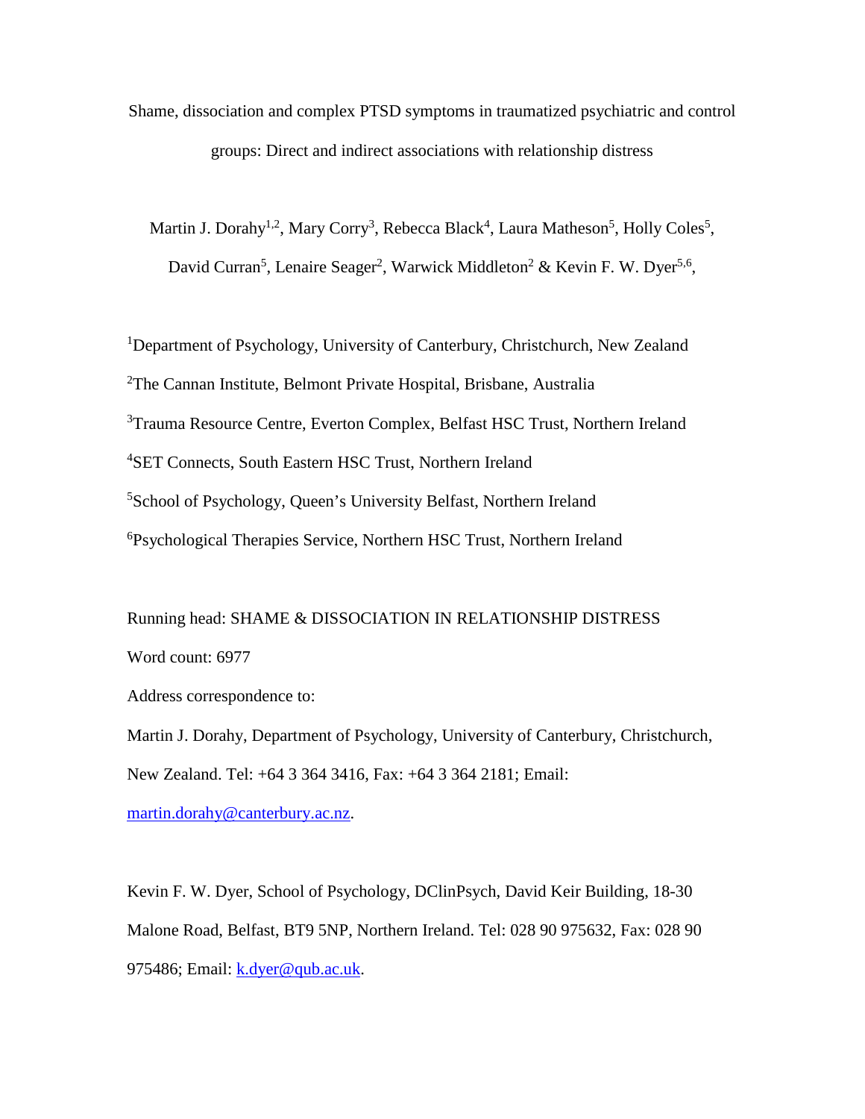Shame, dissociation and complex PTSD symptoms in traumatized psychiatric and control groups: Direct and indirect associations with relationship distress

Martin J. Dorahy<sup>1,2</sup>, Mary Corry<sup>3</sup>, Rebecca Black<sup>4</sup>, Laura Matheson<sup>5</sup>, Holly Coles<sup>5</sup>, David Curran<sup>5</sup>, Lenaire Seager<sup>2</sup>, Warwick Middleton<sup>2</sup> & Kevin F. W. Dyer<sup>5,6</sup>,

<sup>1</sup>Department of Psychology, University of Canterbury, Christchurch, New Zealand <sup>2</sup>The Cannan Institute, Belmont Private Hospital, Brisbane, Australia <sup>3</sup>Trauma Resource Centre, Everton Complex, Belfast HSC Trust, Northern Ireland 4 SET Connects, South Eastern HSC Trust, Northern Ireland 5 School of Psychology, Queen's University Belfast, Northern Ireland 6 Psychological Therapies Service, Northern HSC Trust, Northern Ireland

Running head: SHAME & DISSOCIATION IN RELATIONSHIP DISTRESS Word count: 6977

Address correspondence to:

Martin J. Dorahy, Department of Psychology, University of Canterbury, Christchurch, New Zealand. Tel: +64 3 364 3416, Fax: +64 3 364 2181; Email:

[martin.dorahy@canterbury.ac.nz.](mailto:martin.dorahy@canterbury.ac.nz)

Kevin F. W. Dyer, School of Psychology, DClinPsych, David Keir Building, 18-30 Malone Road, Belfast, BT9 5NP, Northern Ireland. Tel: 028 90 975632, Fax: 028 90 975486; Email: [k.dyer@qub.ac.uk.](mailto:k.dyer@qub.ac.uk)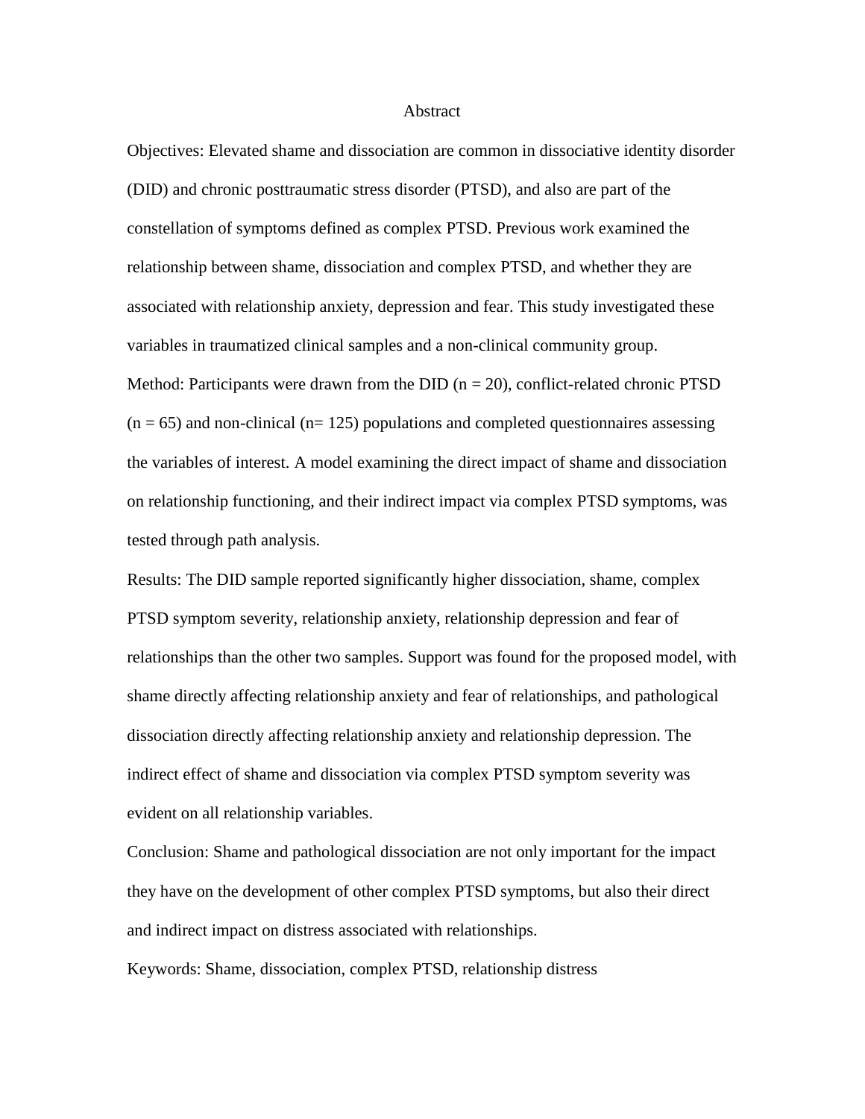## Abstract

Objectives: Elevated shame and dissociation are common in dissociative identity disorder (DID) and chronic posttraumatic stress disorder (PTSD), and also are part of the constellation of symptoms defined as complex PTSD. Previous work examined the relationship between shame, dissociation and complex PTSD, and whether they are associated with relationship anxiety, depression and fear. This study investigated these variables in traumatized clinical samples and a non-clinical community group. Method: Participants were drawn from the DID ( $n = 20$ ), conflict-related chronic PTSD  $(n = 65)$  and non-clinical ( $n = 125$ ) populations and completed questionnaires assessing the variables of interest. A model examining the direct impact of shame and dissociation on relationship functioning, and their indirect impact via complex PTSD symptoms, was tested through path analysis.

Results: The DID sample reported significantly higher dissociation, shame, complex PTSD symptom severity, relationship anxiety, relationship depression and fear of relationships than the other two samples. Support was found for the proposed model, with shame directly affecting relationship anxiety and fear of relationships, and pathological dissociation directly affecting relationship anxiety and relationship depression. The indirect effect of shame and dissociation via complex PTSD symptom severity was evident on all relationship variables.

Conclusion: Shame and pathological dissociation are not only important for the impact they have on the development of other complex PTSD symptoms, but also their direct and indirect impact on distress associated with relationships.

Keywords: Shame, dissociation, complex PTSD, relationship distress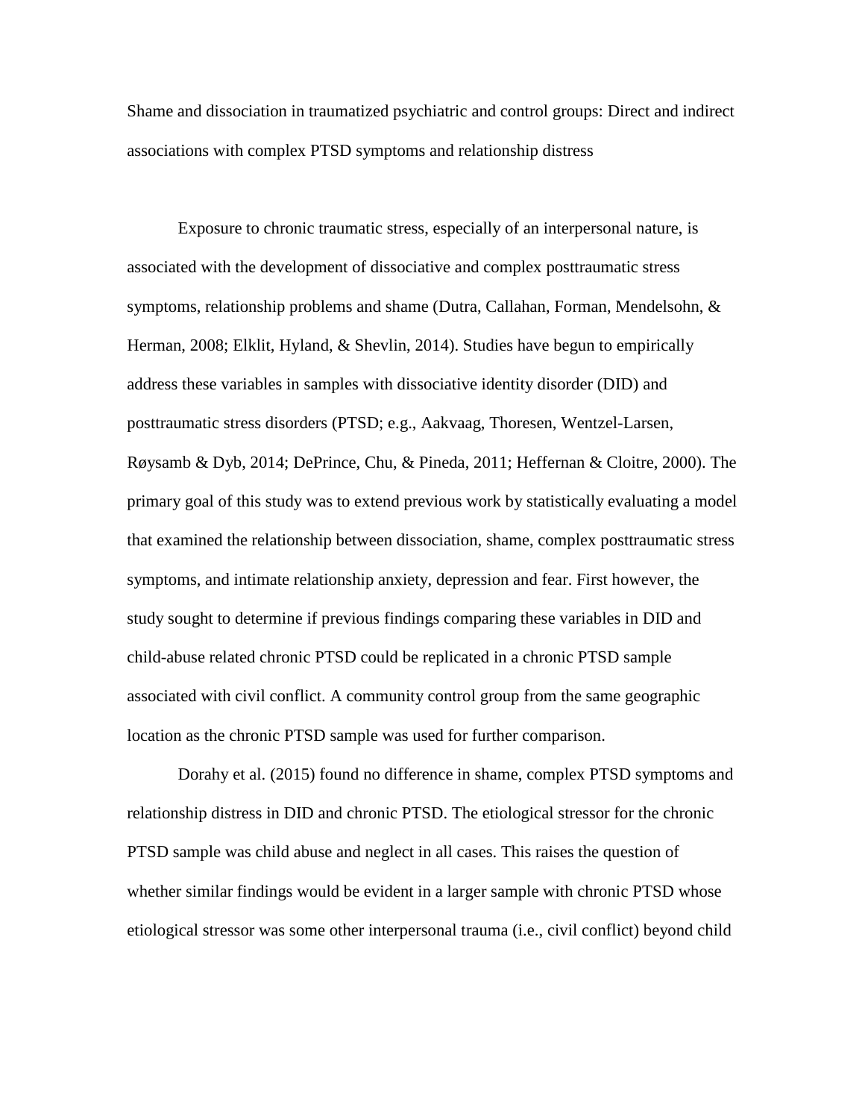Shame and dissociation in traumatized psychiatric and control groups: Direct and indirect associations with complex PTSD symptoms and relationship distress

Exposure to chronic traumatic stress, especially of an interpersonal nature, is associated with the development of dissociative and complex posttraumatic stress symptoms, relationship problems and shame (Dutra, Callahan, Forman, Mendelsohn,  $\&$ Herman, 2008; Elklit, Hyland, & Shevlin, 2014). Studies have begun to empirically address these variables in samples with dissociative identity disorder (DID) and posttraumatic stress disorders (PTSD; e.g., Aakvaag, Thoresen, Wentzel-Larsen, Røysamb & Dyb, 2014; DePrince, Chu, & Pineda, 2011; Heffernan & Cloitre, 2000). The primary goal of this study was to extend previous work by statistically evaluating a model that examined the relationship between dissociation, shame, complex posttraumatic stress symptoms, and intimate relationship anxiety, depression and fear. First however, the study sought to determine if previous findings comparing these variables in DID and child-abuse related chronic PTSD could be replicated in a chronic PTSD sample associated with civil conflict. A community control group from the same geographic location as the chronic PTSD sample was used for further comparison.

Dorahy et al. (2015) found no difference in shame, complex PTSD symptoms and relationship distress in DID and chronic PTSD. The etiological stressor for the chronic PTSD sample was child abuse and neglect in all cases. This raises the question of whether similar findings would be evident in a larger sample with chronic PTSD whose etiological stressor was some other interpersonal trauma (i.e., civil conflict) beyond child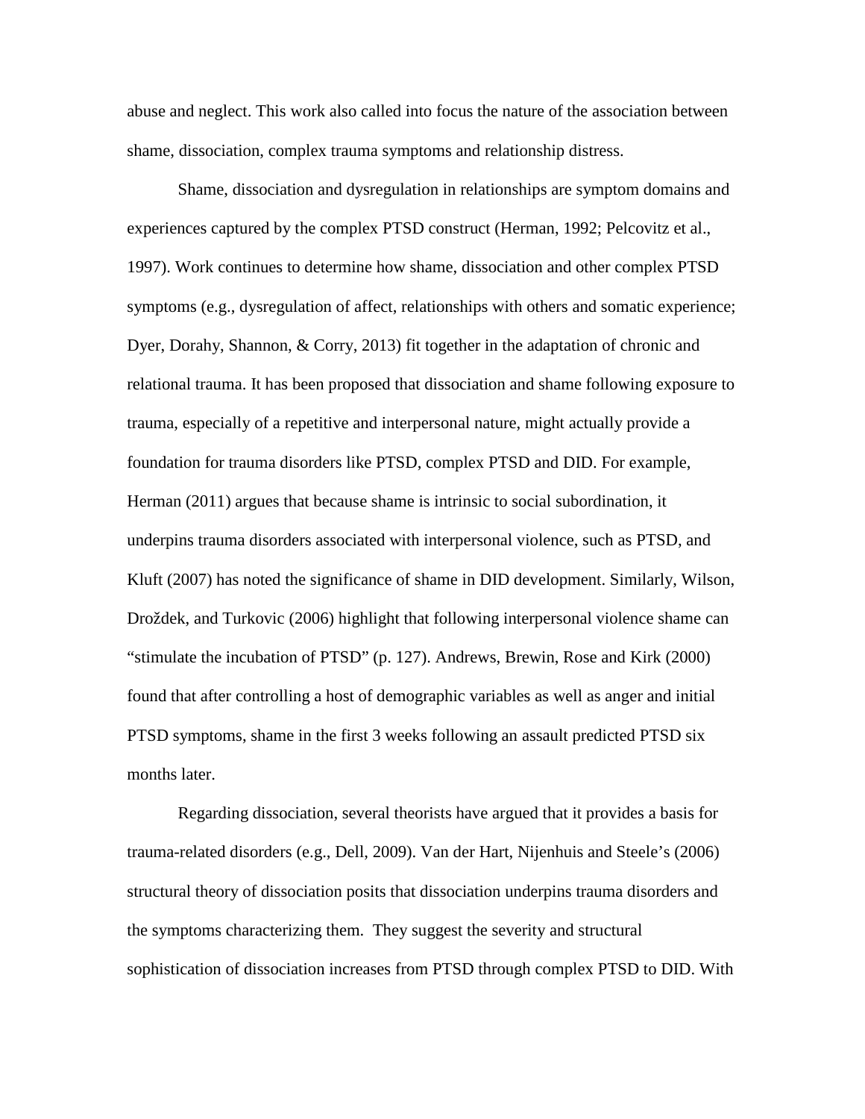abuse and neglect. This work also called into focus the nature of the association between shame, dissociation, complex trauma symptoms and relationship distress.

Shame, dissociation and dysregulation in relationships are symptom domains and experiences captured by the complex PTSD construct (Herman, 1992; Pelcovitz et al., 1997). Work continues to determine how shame, dissociation and other complex PTSD symptoms (e.g., dysregulation of affect, relationships with others and somatic experience; Dyer, Dorahy, Shannon, & Corry, 2013) fit together in the adaptation of chronic and relational trauma. It has been proposed that dissociation and shame following exposure to trauma, especially of a repetitive and interpersonal nature, might actually provide a foundation for trauma disorders like PTSD, complex PTSD and DID. For example, Herman (2011) argues that because shame is intrinsic to social subordination, it underpins trauma disorders associated with interpersonal violence, such as PTSD, and Kluft (2007) has noted the significance of shame in DID development. Similarly, Wilson, Droždek, and Turkovic (2006) highlight that following interpersonal violence shame can "stimulate the incubation of PTSD" (p. 127). Andrews, Brewin, Rose and Kirk (2000) found that after controlling a host of demographic variables as well as anger and initial PTSD symptoms, shame in the first 3 weeks following an assault predicted PTSD six months later.

Regarding dissociation, several theorists have argued that it provides a basis for trauma-related disorders (e.g., Dell, 2009). Van der Hart, Nijenhuis and Steele's (2006) structural theory of dissociation posits that dissociation underpins trauma disorders and the symptoms characterizing them. They suggest the severity and structural sophistication of dissociation increases from PTSD through complex PTSD to DID. With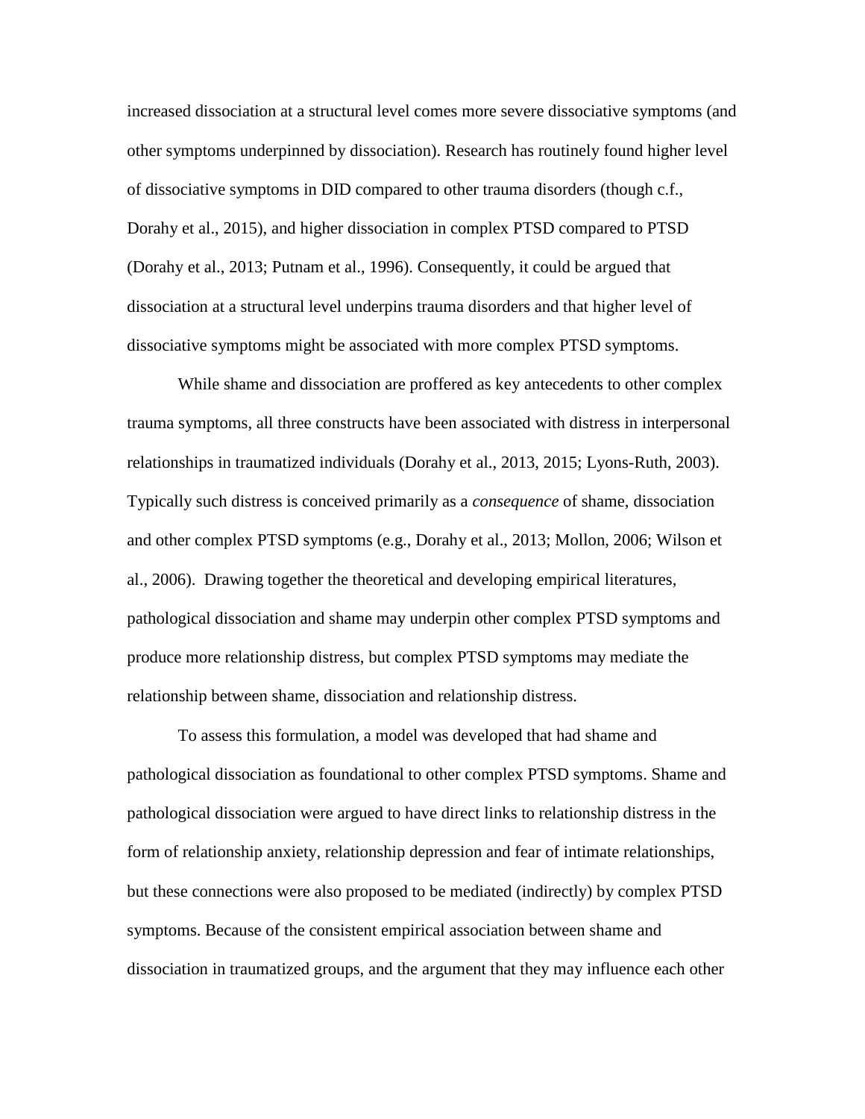increased dissociation at a structural level comes more severe dissociative symptoms (and other symptoms underpinned by dissociation). Research has routinely found higher level of dissociative symptoms in DID compared to other trauma disorders (though c.f., Dorahy et al., 2015), and higher dissociation in complex PTSD compared to PTSD (Dorahy et al., 2013; Putnam et al., 1996). Consequently, it could be argued that dissociation at a structural level underpins trauma disorders and that higher level of dissociative symptoms might be associated with more complex PTSD symptoms.

While shame and dissociation are proffered as key antecedents to other complex trauma symptoms, all three constructs have been associated with distress in interpersonal relationships in traumatized individuals (Dorahy et al., 2013, 2015; Lyons-Ruth, 2003). Typically such distress is conceived primarily as a *consequence* of shame, dissociation and other complex PTSD symptoms (e.g., Dorahy et al., 2013; Mollon, 2006; Wilson et al., 2006). Drawing together the theoretical and developing empirical literatures, pathological dissociation and shame may underpin other complex PTSD symptoms and produce more relationship distress, but complex PTSD symptoms may mediate the relationship between shame, dissociation and relationship distress.

To assess this formulation, a model was developed that had shame and pathological dissociation as foundational to other complex PTSD symptoms. Shame and pathological dissociation were argued to have direct links to relationship distress in the form of relationship anxiety, relationship depression and fear of intimate relationships, but these connections were also proposed to be mediated (indirectly) by complex PTSD symptoms. Because of the consistent empirical association between shame and dissociation in traumatized groups, and the argument that they may influence each other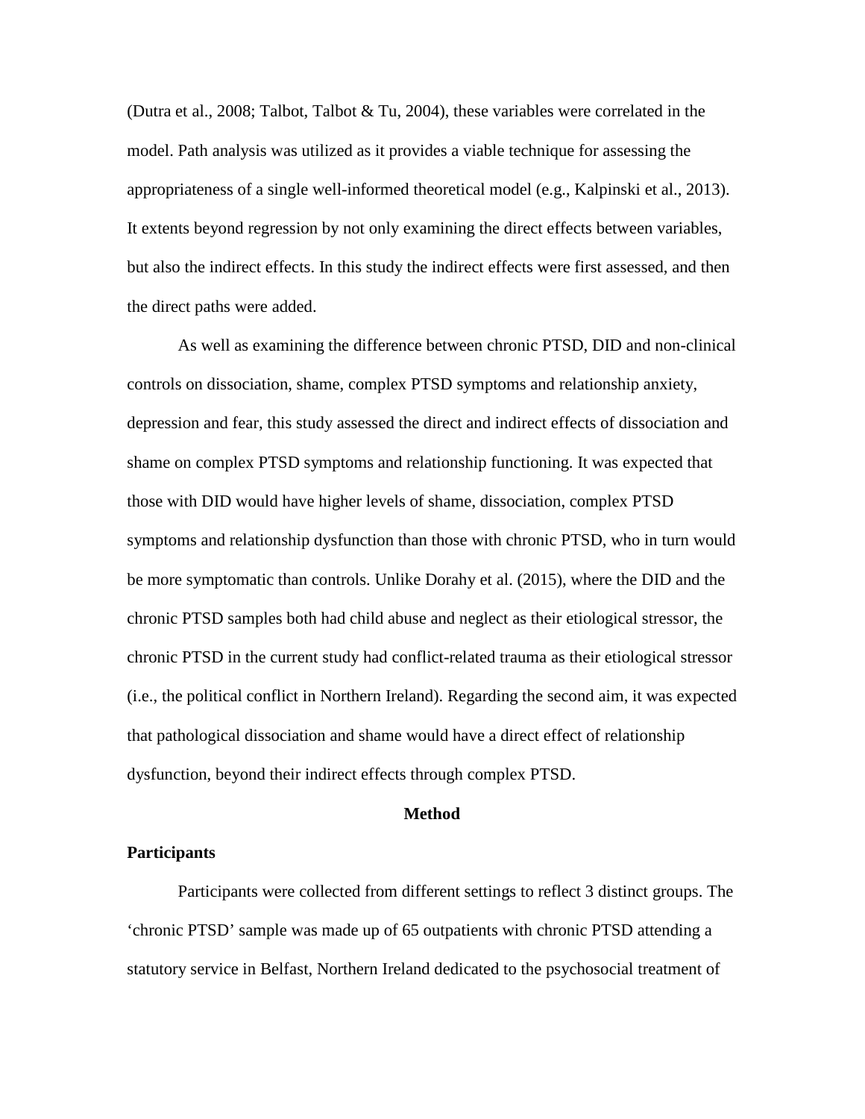(Dutra et al., 2008; Talbot, Talbot & Tu, 2004), these variables were correlated in the model. Path analysis was utilized as it provides a viable technique for assessing the appropriateness of a single well-informed theoretical model (e.g., Kalpinski et al., 2013). It extents beyond regression by not only examining the direct effects between variables, but also the indirect effects. In this study the indirect effects were first assessed, and then the direct paths were added.

As well as examining the difference between chronic PTSD, DID and non-clinical controls on dissociation, shame, complex PTSD symptoms and relationship anxiety, depression and fear, this study assessed the direct and indirect effects of dissociation and shame on complex PTSD symptoms and relationship functioning. It was expected that those with DID would have higher levels of shame, dissociation, complex PTSD symptoms and relationship dysfunction than those with chronic PTSD, who in turn would be more symptomatic than controls. Unlike Dorahy et al. (2015), where the DID and the chronic PTSD samples both had child abuse and neglect as their etiological stressor, the chronic PTSD in the current study had conflict-related trauma as their etiological stressor (i.e., the political conflict in Northern Ireland). Regarding the second aim, it was expected that pathological dissociation and shame would have a direct effect of relationship dysfunction, beyond their indirect effects through complex PTSD.

### **Method**

## **Participants**

Participants were collected from different settings to reflect 3 distinct groups. The 'chronic PTSD' sample was made up of 65 outpatients with chronic PTSD attending a statutory service in Belfast, Northern Ireland dedicated to the psychosocial treatment of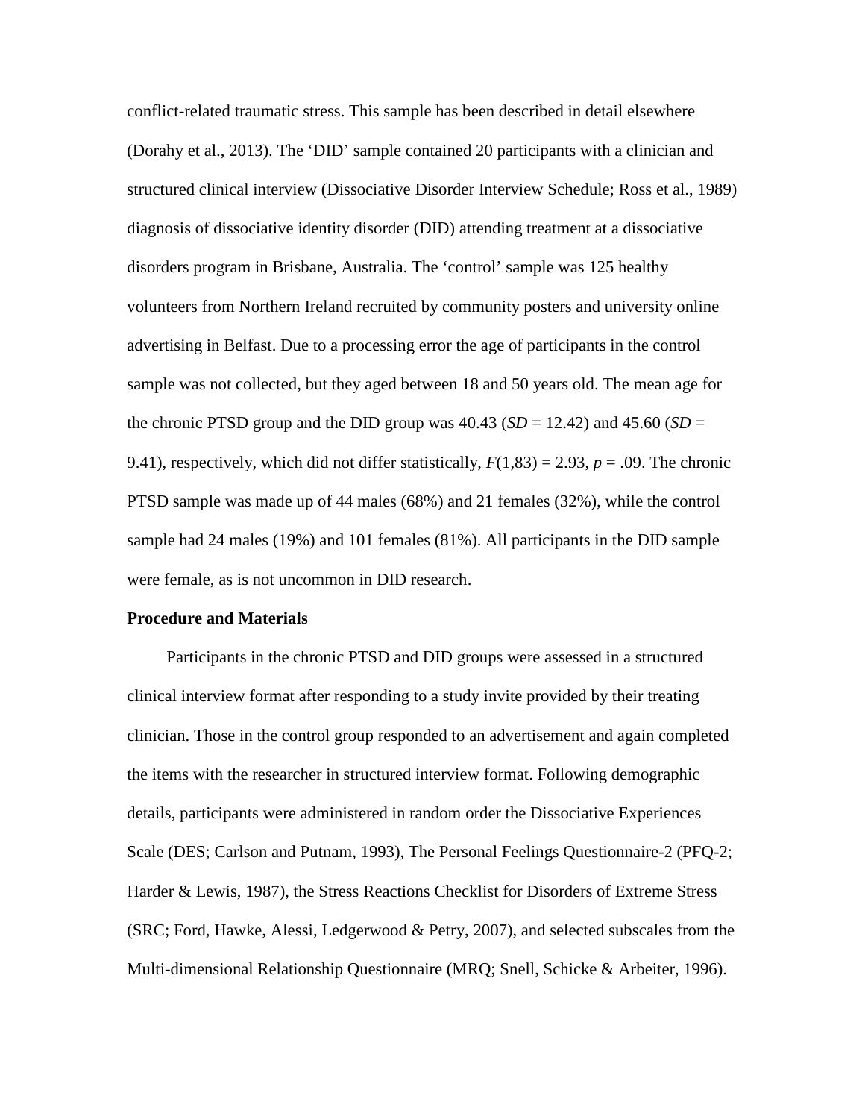conflict-related traumatic stress. This sample has been described in detail elsewhere (Dorahy et al., 2013). The 'DID' sample contained 20 participants with a clinician and structured clinical interview (Dissociative Disorder Interview Schedule; Ross et al., 1989) diagnosis of dissociative identity disorder (DID) attending treatment at a dissociative disorders program in Brisbane, Australia. The 'control' sample was 125 healthy volunteers from Northern Ireland recruited by community posters and university online advertising in Belfast. Due to a processing error the age of participants in the control sample was not collected, but they aged between 18 and 50 years old. The mean age for the chronic PTSD group and the DID group was  $40.43$  (*SD* = 12.42) and  $45.60$  (*SD* = 9.41), respectively, which did not differ statistically,  $F(1,83) = 2.93$ ,  $p = .09$ . The chronic PTSD sample was made up of 44 males (68%) and 21 females (32%), while the control sample had 24 males (19%) and 101 females (81%). All participants in the DID sample were female, as is not uncommon in DID research.

# **Procedure and Materials**

Participants in the chronic PTSD and DID groups were assessed in a structured clinical interview format after responding to a study invite provided by their treating clinician. Those in the control group responded to an advertisement and again completed the items with the researcher in structured interview format. Following demographic details, participants were administered in random order the Dissociative Experiences Scale (DES; Carlson and Putnam, 1993), The Personal Feelings Questionnaire-2 (PFQ-2; Harder & Lewis, 1987), the Stress Reactions Checklist for Disorders of Extreme Stress (SRC; Ford, Hawke, Alessi, Ledgerwood & Petry, 2007), and selected subscales from the Multi-dimensional Relationship Questionnaire (MRQ; Snell, Schicke & Arbeiter, 1996).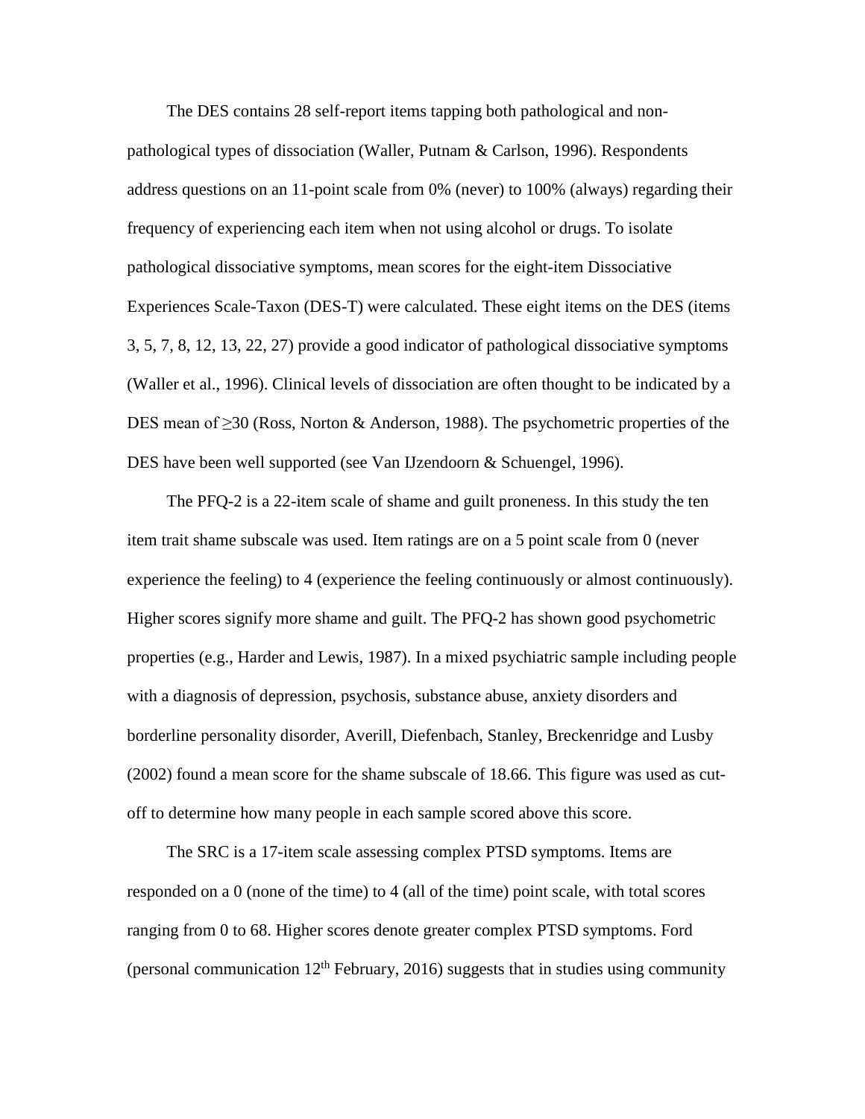The DES contains 28 self-report items tapping both pathological and nonpathological types of dissociation (Waller, Putnam & Carlson, 1996). Respondents address questions on an 11-point scale from 0% (never) to 100% (always) regarding their frequency of experiencing each item when not using alcohol or drugs. To isolate pathological dissociative symptoms, mean scores for the eight-item Dissociative Experiences Scale-Taxon (DES-T) were calculated. These eight items on the DES (items 3, 5, 7, 8, 12, 13, 22, 27) provide a good indicator of pathological dissociative symptoms (Waller et al., 1996). Clinical levels of dissociation are often thought to be indicated by a DES mean of ≥30 (Ross, Norton & Anderson, 1988). The psychometric properties of the DES have been well supported (see Van IJzendoorn & Schuengel, 1996).

The PFQ-2 is a 22-item scale of shame and guilt proneness. In this study the ten item trait shame subscale was used. Item ratings are on a 5 point scale from 0 (never experience the feeling) to 4 (experience the feeling continuously or almost continuously). Higher scores signify more shame and guilt. The PFQ-2 has shown good psychometric properties (e.g., Harder and Lewis, 1987). In a mixed psychiatric sample including people with a diagnosis of depression, psychosis, substance abuse, anxiety disorders and borderline personality disorder, Averill, Diefenbach, Stanley, Breckenridge and Lusby (2002) found a mean score for the shame subscale of 18.66. This figure was used as cutoff to determine how many people in each sample scored above this score.

The SRC is a 17-item scale assessing complex PTSD symptoms. Items are responded on a 0 (none of the time) to 4 (all of the time) point scale, with total scores ranging from 0 to 68. Higher scores denote greater complex PTSD symptoms. Ford (personal communication  $12<sup>th</sup>$  February, 2016) suggests that in studies using community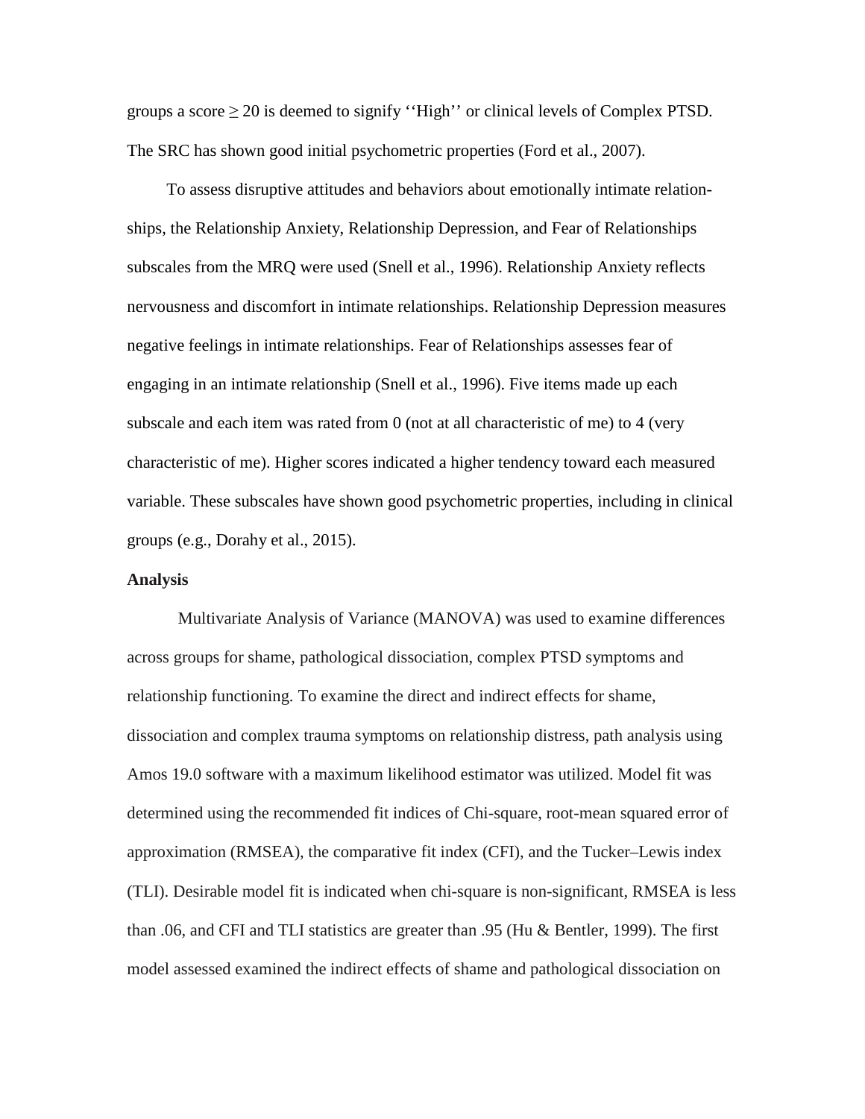groups a score  $\geq 20$  is deemed to signify "High" or clinical levels of Complex PTSD. The SRC has shown good initial psychometric properties (Ford et al., 2007).

To assess disruptive attitudes and behaviors about emotionally intimate relationships, the Relationship Anxiety, Relationship Depression, and Fear of Relationships subscales from the MRQ were used (Snell et al., 1996). Relationship Anxiety reflects nervousness and discomfort in intimate relationships. Relationship Depression measures negative feelings in intimate relationships. Fear of Relationships assesses fear of engaging in an intimate relationship (Snell et al., 1996). Five items made up each subscale and each item was rated from 0 (not at all characteristic of me) to 4 (very characteristic of me). Higher scores indicated a higher tendency toward each measured variable. These subscales have shown good psychometric properties, including in clinical groups (e.g., Dorahy et al., 2015).

## **Analysis**

Multivariate Analysis of Variance (MANOVA) was used to examine differences across groups for shame, pathological dissociation, complex PTSD symptoms and relationship functioning. To examine the direct and indirect effects for shame, dissociation and complex trauma symptoms on relationship distress, path analysis using Amos 19.0 software with a maximum likelihood estimator was utilized. Model fit was determined using the recommended fit indices of Chi-square, root-mean squared error of approximation (RMSEA), the comparative fit index (CFI), and the Tucker–Lewis index (TLI). Desirable model fit is indicated when chi-square is non-significant, RMSEA is less than .06, and CFI and TLI statistics are greater than .95 (Hu & Bentler, 1999). The first model assessed examined the indirect effects of shame and pathological dissociation on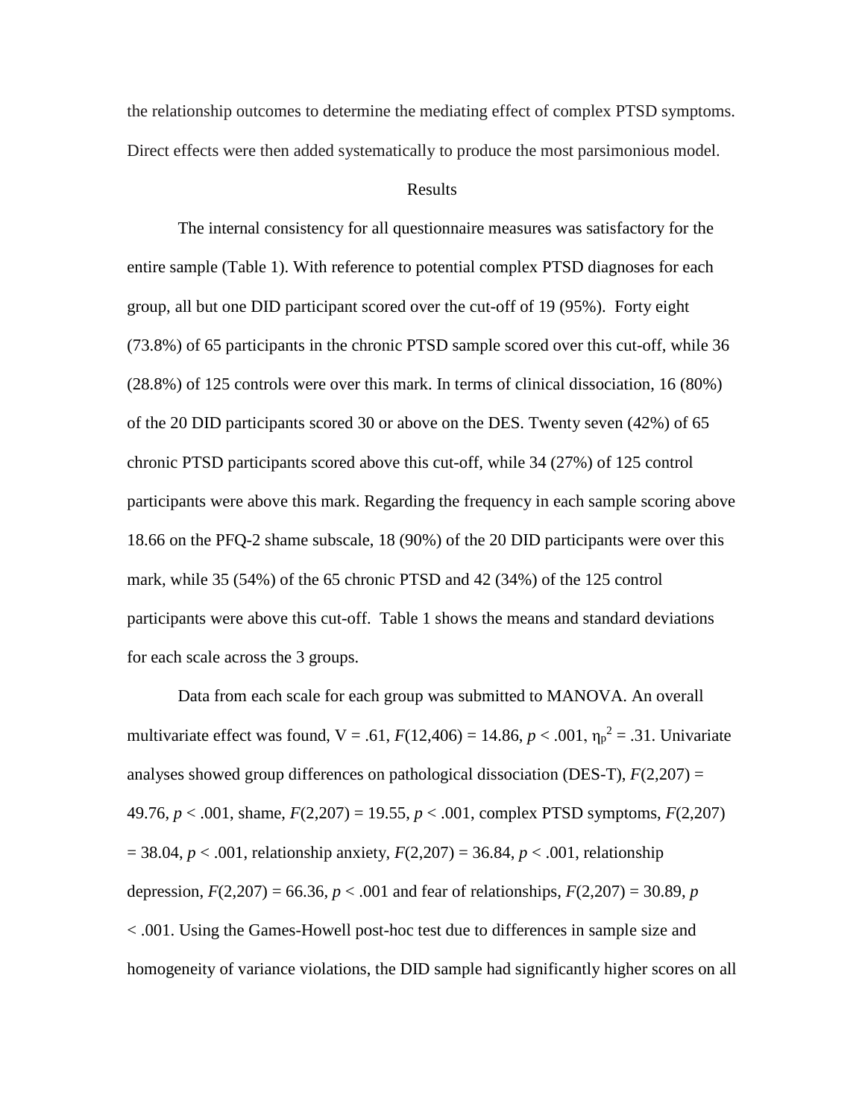the relationship outcomes to determine the mediating effect of complex PTSD symptoms. Direct effects were then added systematically to produce the most parsimonious model.

## Results

The internal consistency for all questionnaire measures was satisfactory for the entire sample (Table 1). With reference to potential complex PTSD diagnoses for each group, all but one DID participant scored over the cut-off of 19 (95%). Forty eight (73.8%) of 65 participants in the chronic PTSD sample scored over this cut-off, while 36 (28.8%) of 125 controls were over this mark. In terms of clinical dissociation, 16 (80%) of the 20 DID participants scored 30 or above on the DES. Twenty seven (42%) of 65 chronic PTSD participants scored above this cut-off, while 34 (27%) of 125 control participants were above this mark. Regarding the frequency in each sample scoring above 18.66 on the PFQ-2 shame subscale, 18 (90%) of the 20 DID participants were over this mark, while 35 (54%) of the 65 chronic PTSD and 42 (34%) of the 125 control participants were above this cut-off. Table 1 shows the means and standard deviations for each scale across the 3 groups.

Data from each scale for each group was submitted to MANOVA. An overall multivariate effect was found,  $V = .61$ ,  $F(12,406) = 14.86$ ,  $p < .001$ ,  $\eta_p^2 = .31$ . Univariate analyses showed group differences on pathological dissociation (DES-T), *F*(2,207) = 49.76, *p* < .001, shame, *F*(2,207) = 19.55, *p* < .001, complex PTSD symptoms, *F*(2,207) = 38.04, *p* < .001, relationship anxiety, *F*(2,207) = 36.84, *p* < .001, relationship depression,  $F(2,207) = 66.36$ ,  $p < .001$  and fear of relationships,  $F(2,207) = 30.89$ , *p* < .001. Using the Games-Howell post-hoc test due to differences in sample size and homogeneity of variance violations, the DID sample had significantly higher scores on all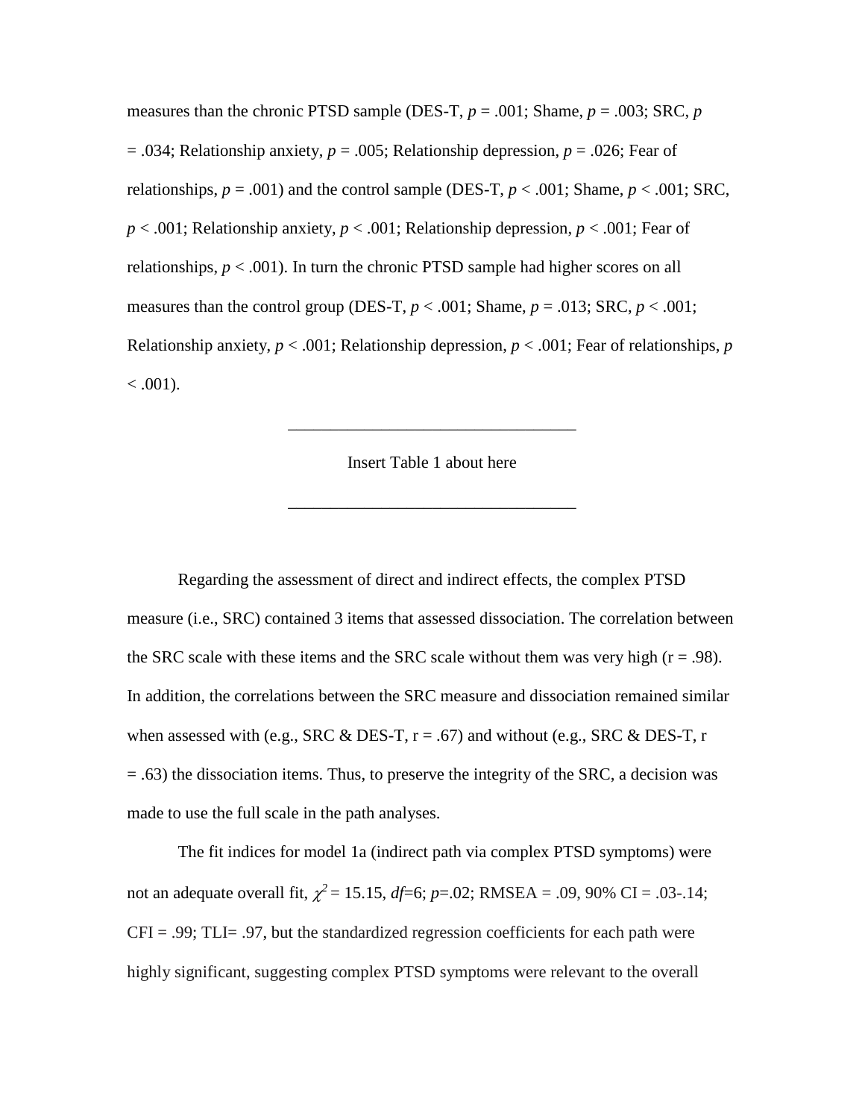measures than the chronic PTSD sample (DES-T,  $p = .001$ ; Shame,  $p = .003$ ; SRC,  $p$ = .034; Relationship anxiety, *p* = .005; Relationship depression, *p* = .026; Fear of relationships,  $p = .001$ ) and the control sample (DES-T,  $p < .001$ ; Shame,  $p < .001$ ; SRC, *p* < .001; Relationship anxiety, *p* < .001; Relationship depression, *p* < .001; Fear of relationships,  $p < .001$ ). In turn the chronic PTSD sample had higher scores on all measures than the control group (DES-T,  $p < .001$ ; Shame,  $p = .013$ ; SRC,  $p < .001$ ; Relationship anxiety,  $p < .001$ ; Relationship depression,  $p < .001$ ; Fear of relationships, p  $< .001$ ).

Insert Table 1 about here

\_\_\_\_\_\_\_\_\_\_\_\_\_\_\_\_\_\_\_\_\_\_\_\_\_\_\_\_\_\_\_\_\_\_

\_\_\_\_\_\_\_\_\_\_\_\_\_\_\_\_\_\_\_\_\_\_\_\_\_\_\_\_\_\_\_\_\_\_

Regarding the assessment of direct and indirect effects, the complex PTSD measure (i.e., SRC) contained 3 items that assessed dissociation. The correlation between the SRC scale with these items and the SRC scale without them was very high  $(r = .98)$ . In addition, the correlations between the SRC measure and dissociation remained similar when assessed with (e.g., SRC & DES-T,  $r = .67$ ) and without (e.g., SRC & DES-T, r = .63) the dissociation items. Thus, to preserve the integrity of the SRC, a decision was made to use the full scale in the path analyses.

The fit indices for model 1a (indirect path via complex PTSD symptoms) were not an adequate overall fit,  $\chi^2 = 15.15$ ,  $df=6$ ;  $p=.02$ ; RMSEA = .09, 90% CI = .03-.14;  $CFI = .99$ ; TLI $= .97$ , but the standardized regression coefficients for each path were highly significant, suggesting complex PTSD symptoms were relevant to the overall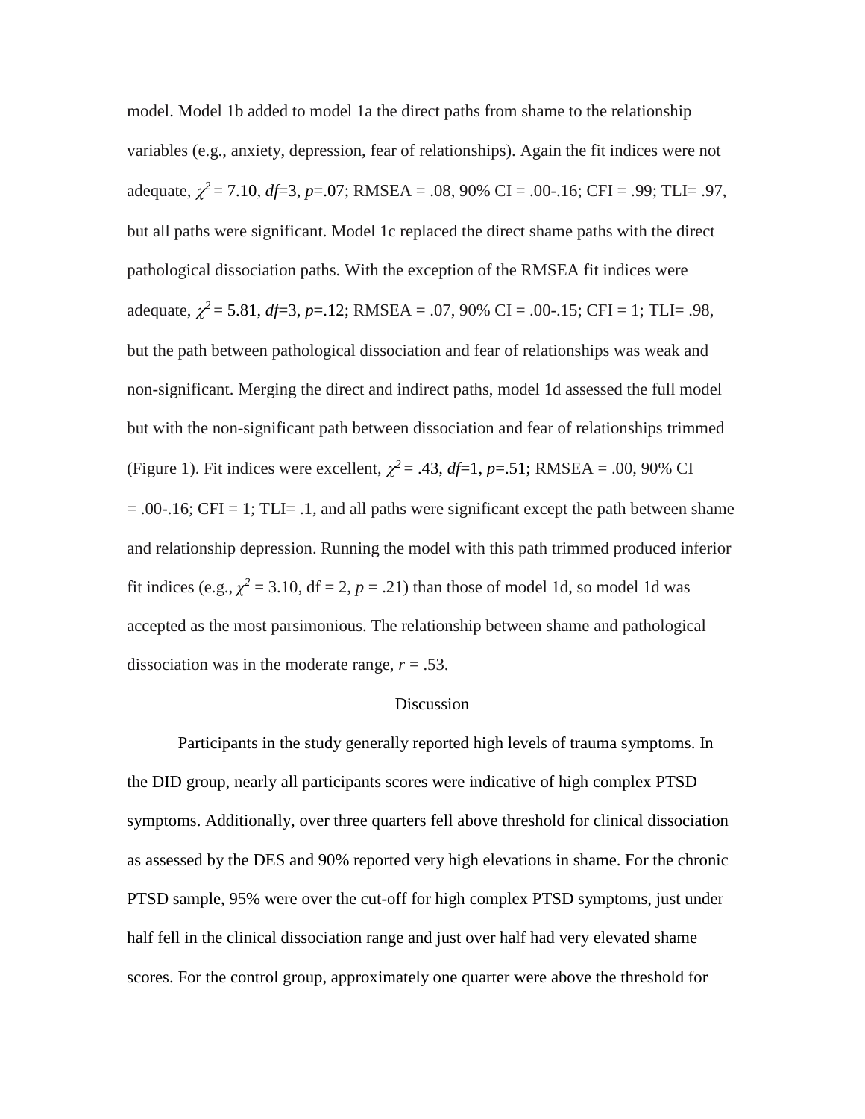model. Model 1b added to model 1a the direct paths from shame to the relationship variables (e.g., anxiety, depression, fear of relationships). Again the fit indices were not adequate, χ*<sup>2</sup>* = 7.10, *df*=3, *p*=.07; RMSEA = .08, 90% CI = .00-.16; CFI = .99; TLI= .97, but all paths were significant. Model 1c replaced the direct shame paths with the direct pathological dissociation paths. With the exception of the RMSEA fit indices were adequate,  $\chi^2$  = 5.81, *df*=3, *p*=.12; RMSEA = .07, 90% CI = .00-.15; CFI = 1; TLI= .98, but the path between pathological dissociation and fear of relationships was weak and non-significant. Merging the direct and indirect paths, model 1d assessed the full model but with the non-significant path between dissociation and fear of relationships trimmed (Figure 1). Fit indices were excellent,  $\chi^2 = .43$ ,  $df=1$ ,  $p=.51$ ; RMSEA = .00, 90% CI  $= .00-.16$ ; CFI  $= 1$ ; TLI $= .1$ , and all paths were significant except the path between shame and relationship depression. Running the model with this path trimmed produced inferior fit indices (e.g.,  $\chi^2$  = 3.10, df = 2, p = .21) than those of model 1d, so model 1d was accepted as the most parsimonious. The relationship between shame and pathological dissociation was in the moderate range,  $r = .53$ .

# Discussion

Participants in the study generally reported high levels of trauma symptoms. In the DID group, nearly all participants scores were indicative of high complex PTSD symptoms. Additionally, over three quarters fell above threshold for clinical dissociation as assessed by the DES and 90% reported very high elevations in shame. For the chronic PTSD sample, 95% were over the cut-off for high complex PTSD symptoms, just under half fell in the clinical dissociation range and just over half had very elevated shame scores. For the control group, approximately one quarter were above the threshold for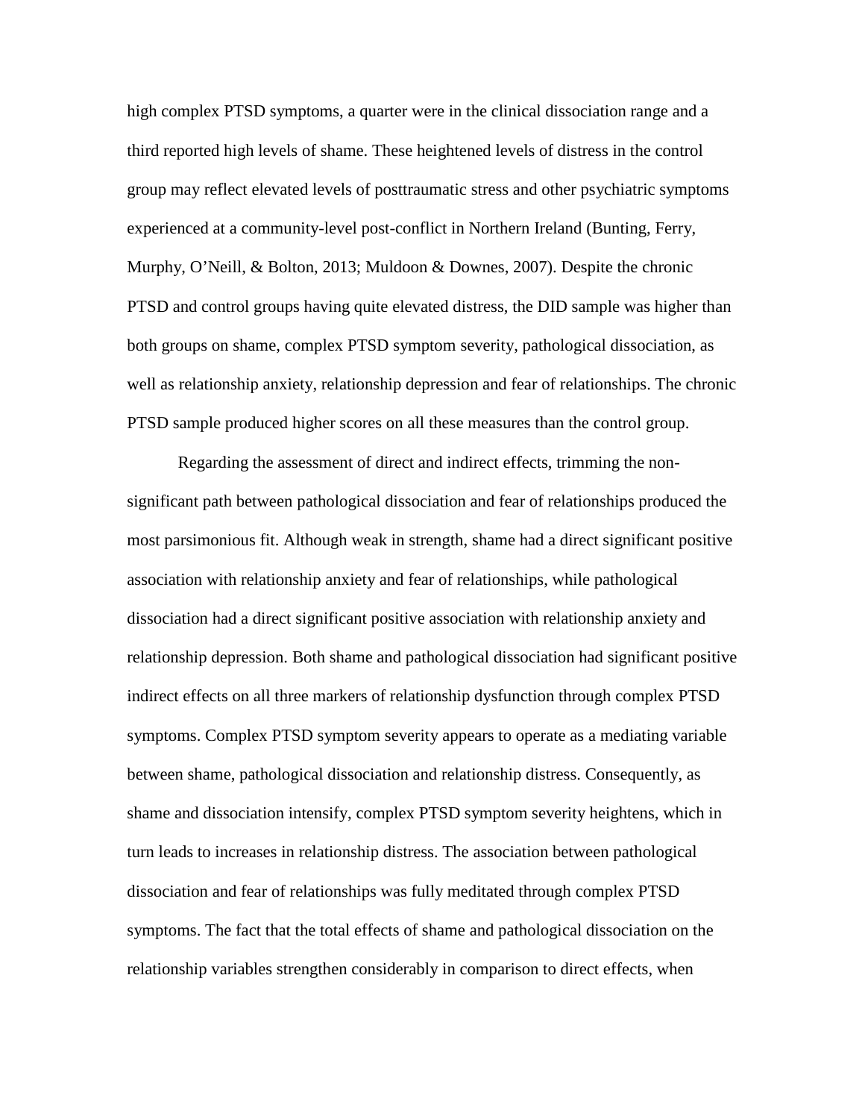high complex PTSD symptoms, a quarter were in the clinical dissociation range and a third reported high levels of shame. These heightened levels of distress in the control group may reflect elevated levels of posttraumatic stress and other psychiatric symptoms experienced at a community-level post-conflict in Northern Ireland (Bunting, Ferry, Murphy, O'Neill, & Bolton, 2013; Muldoon & Downes, 2007). Despite the chronic PTSD and control groups having quite elevated distress, the DID sample was higher than both groups on shame, complex PTSD symptom severity, pathological dissociation, as well as relationship anxiety, relationship depression and fear of relationships. The chronic PTSD sample produced higher scores on all these measures than the control group.

Regarding the assessment of direct and indirect effects, trimming the nonsignificant path between pathological dissociation and fear of relationships produced the most parsimonious fit. Although weak in strength, shame had a direct significant positive association with relationship anxiety and fear of relationships, while pathological dissociation had a direct significant positive association with relationship anxiety and relationship depression. Both shame and pathological dissociation had significant positive indirect effects on all three markers of relationship dysfunction through complex PTSD symptoms. Complex PTSD symptom severity appears to operate as a mediating variable between shame, pathological dissociation and relationship distress. Consequently, as shame and dissociation intensify, complex PTSD symptom severity heightens, which in turn leads to increases in relationship distress. The association between pathological dissociation and fear of relationships was fully meditated through complex PTSD symptoms. The fact that the total effects of shame and pathological dissociation on the relationship variables strengthen considerably in comparison to direct effects, when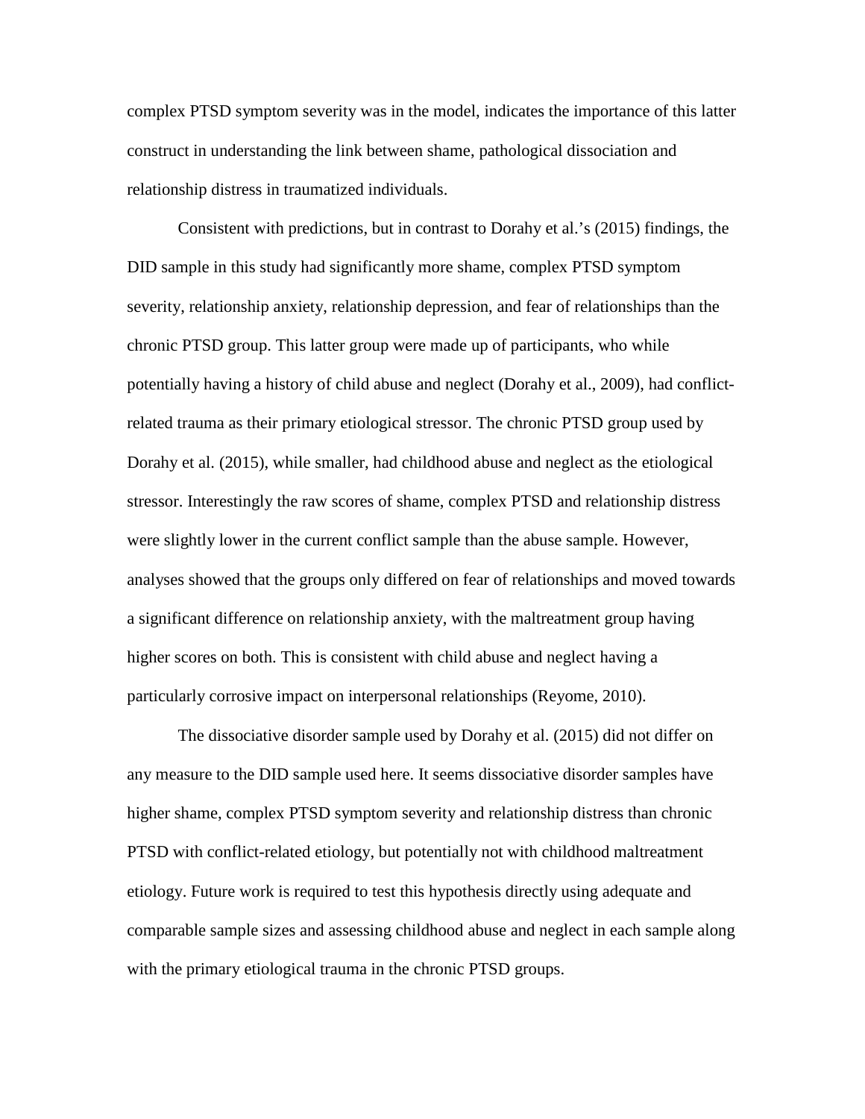complex PTSD symptom severity was in the model, indicates the importance of this latter construct in understanding the link between shame, pathological dissociation and relationship distress in traumatized individuals.

Consistent with predictions, but in contrast to Dorahy et al.'s (2015) findings, the DID sample in this study had significantly more shame, complex PTSD symptom severity, relationship anxiety, relationship depression, and fear of relationships than the chronic PTSD group. This latter group were made up of participants, who while potentially having a history of child abuse and neglect (Dorahy et al., 2009), had conflictrelated trauma as their primary etiological stressor. The chronic PTSD group used by Dorahy et al. (2015), while smaller, had childhood abuse and neglect as the etiological stressor. Interestingly the raw scores of shame, complex PTSD and relationship distress were slightly lower in the current conflict sample than the abuse sample. However, analyses showed that the groups only differed on fear of relationships and moved towards a significant difference on relationship anxiety, with the maltreatment group having higher scores on both. This is consistent with child abuse and neglect having a particularly corrosive impact on interpersonal relationships (Reyome, 2010).

The dissociative disorder sample used by Dorahy et al. (2015) did not differ on any measure to the DID sample used here. It seems dissociative disorder samples have higher shame, complex PTSD symptom severity and relationship distress than chronic PTSD with conflict-related etiology, but potentially not with childhood maltreatment etiology. Future work is required to test this hypothesis directly using adequate and comparable sample sizes and assessing childhood abuse and neglect in each sample along with the primary etiological trauma in the chronic PTSD groups.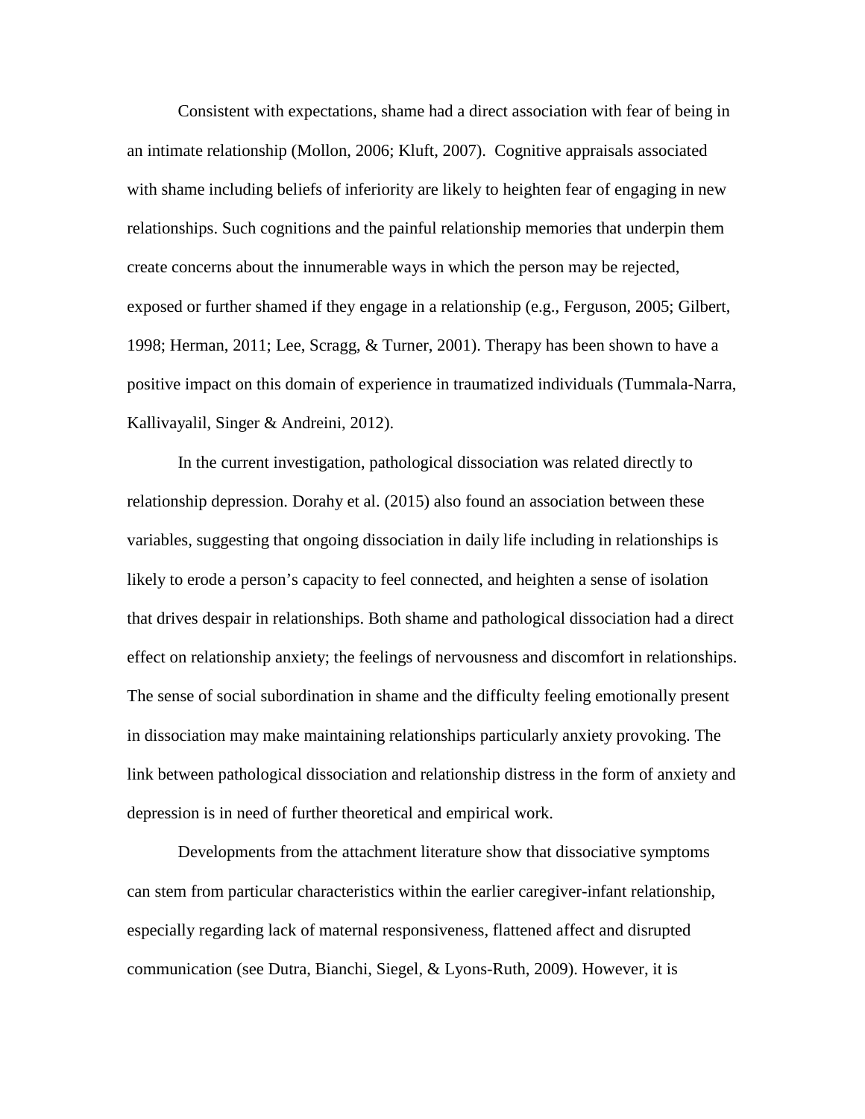Consistent with expectations, shame had a direct association with fear of being in an intimate relationship (Mollon, 2006; Kluft, 2007). Cognitive appraisals associated with shame including beliefs of inferiority are likely to heighten fear of engaging in new relationships. Such cognitions and the painful relationship memories that underpin them create concerns about the innumerable ways in which the person may be rejected, exposed or further shamed if they engage in a relationship (e.g., Ferguson, 2005; Gilbert, 1998; Herman, 2011; Lee, Scragg, & Turner, 2001). Therapy has been shown to have a positive impact on this domain of experience in traumatized individuals (Tummala-Narra, Kallivayalil, Singer & Andreini, 2012).

In the current investigation, pathological dissociation was related directly to relationship depression. Dorahy et al. (2015) also found an association between these variables, suggesting that ongoing dissociation in daily life including in relationships is likely to erode a person's capacity to feel connected, and heighten a sense of isolation that drives despair in relationships. Both shame and pathological dissociation had a direct effect on relationship anxiety; the feelings of nervousness and discomfort in relationships. The sense of social subordination in shame and the difficulty feeling emotionally present in dissociation may make maintaining relationships particularly anxiety provoking. The link between pathological dissociation and relationship distress in the form of anxiety and depression is in need of further theoretical and empirical work.

Developments from the attachment literature show that dissociative symptoms can stem from particular characteristics within the earlier caregiver-infant relationship, especially regarding lack of maternal responsiveness, flattened affect and disrupted communication (see Dutra, Bianchi, Siegel, & Lyons-Ruth, 2009). However, it is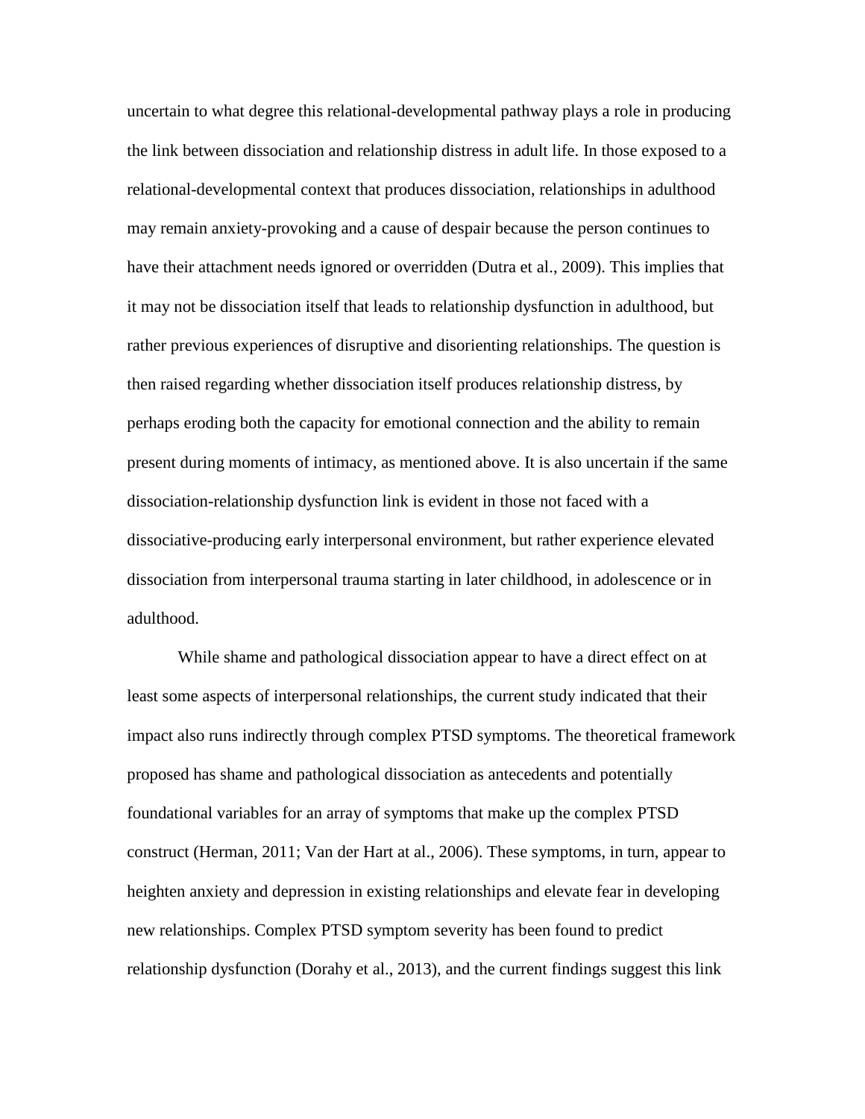uncertain to what degree this relational-developmental pathway plays a role in producing the link between dissociation and relationship distress in adult life. In those exposed to a relational-developmental context that produces dissociation, relationships in adulthood may remain anxiety-provoking and a cause of despair because the person continues to have their attachment needs ignored or overridden (Dutra et al., 2009). This implies that it may not be dissociation itself that leads to relationship dysfunction in adulthood, but rather previous experiences of disruptive and disorienting relationships. The question is then raised regarding whether dissociation itself produces relationship distress, by perhaps eroding both the capacity for emotional connection and the ability to remain present during moments of intimacy, as mentioned above. It is also uncertain if the same dissociation-relationship dysfunction link is evident in those not faced with a dissociative-producing early interpersonal environment, but rather experience elevated dissociation from interpersonal trauma starting in later childhood, in adolescence or in adulthood.

While shame and pathological dissociation appear to have a direct effect on at least some aspects of interpersonal relationships, the current study indicated that their impact also runs indirectly through complex PTSD symptoms. The theoretical framework proposed has shame and pathological dissociation as antecedents and potentially foundational variables for an array of symptoms that make up the complex PTSD construct (Herman, 2011; Van der Hart at al., 2006). These symptoms, in turn, appear to heighten anxiety and depression in existing relationships and elevate fear in developing new relationships. Complex PTSD symptom severity has been found to predict relationship dysfunction (Dorahy et al., 2013), and the current findings suggest this link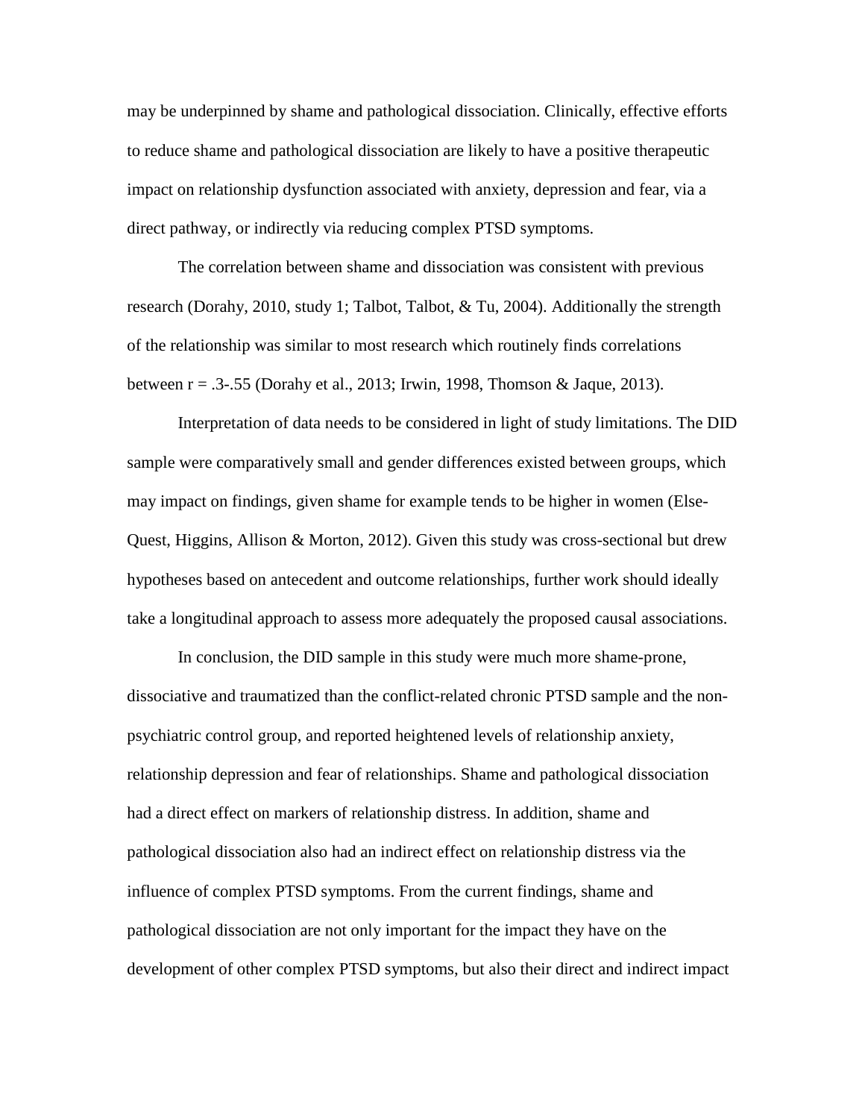may be underpinned by shame and pathological dissociation. Clinically, effective efforts to reduce shame and pathological dissociation are likely to have a positive therapeutic impact on relationship dysfunction associated with anxiety, depression and fear, via a direct pathway, or indirectly via reducing complex PTSD symptoms.

The correlation between shame and dissociation was consistent with previous research (Dorahy, 2010, study 1; Talbot, Talbot,  $\&$  Tu, 2004). Additionally the strength of the relationship was similar to most research which routinely finds correlations between  $r = .3-.55$  (Dorahy et al., 2013; Irwin, 1998, Thomson & Jaque, 2013).

Interpretation of data needs to be considered in light of study limitations. The DID sample were comparatively small and gender differences existed between groups, which may impact on findings, given shame for example tends to be higher in women (Else-Quest, Higgins, Allison & Morton, 2012). Given this study was cross-sectional but drew hypotheses based on antecedent and outcome relationships, further work should ideally take a longitudinal approach to assess more adequately the proposed causal associations.

In conclusion, the DID sample in this study were much more shame-prone, dissociative and traumatized than the conflict-related chronic PTSD sample and the nonpsychiatric control group, and reported heightened levels of relationship anxiety, relationship depression and fear of relationships. Shame and pathological dissociation had a direct effect on markers of relationship distress. In addition, shame and pathological dissociation also had an indirect effect on relationship distress via the influence of complex PTSD symptoms. From the current findings, shame and pathological dissociation are not only important for the impact they have on the development of other complex PTSD symptoms, but also their direct and indirect impact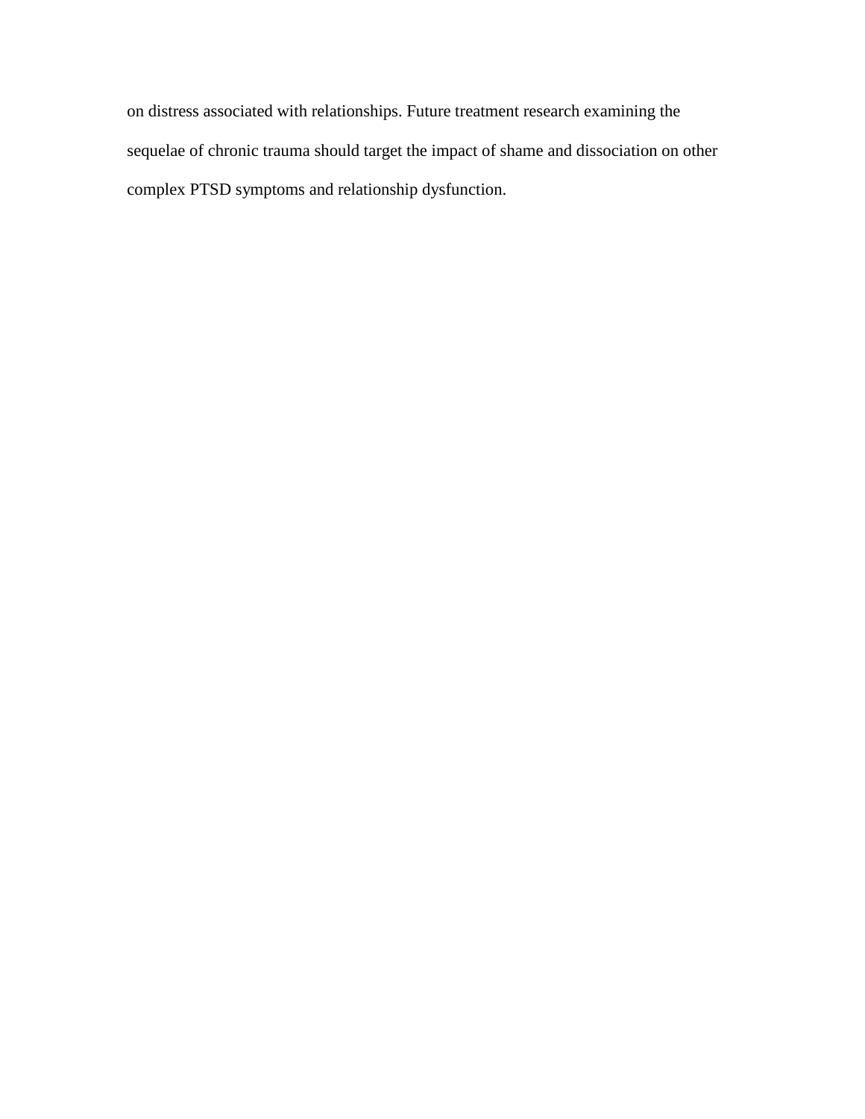on distress associated with relationships. Future treatment research examining the sequelae of chronic trauma should target the impact of shame and dissociation on other complex PTSD symptoms and relationship dysfunction.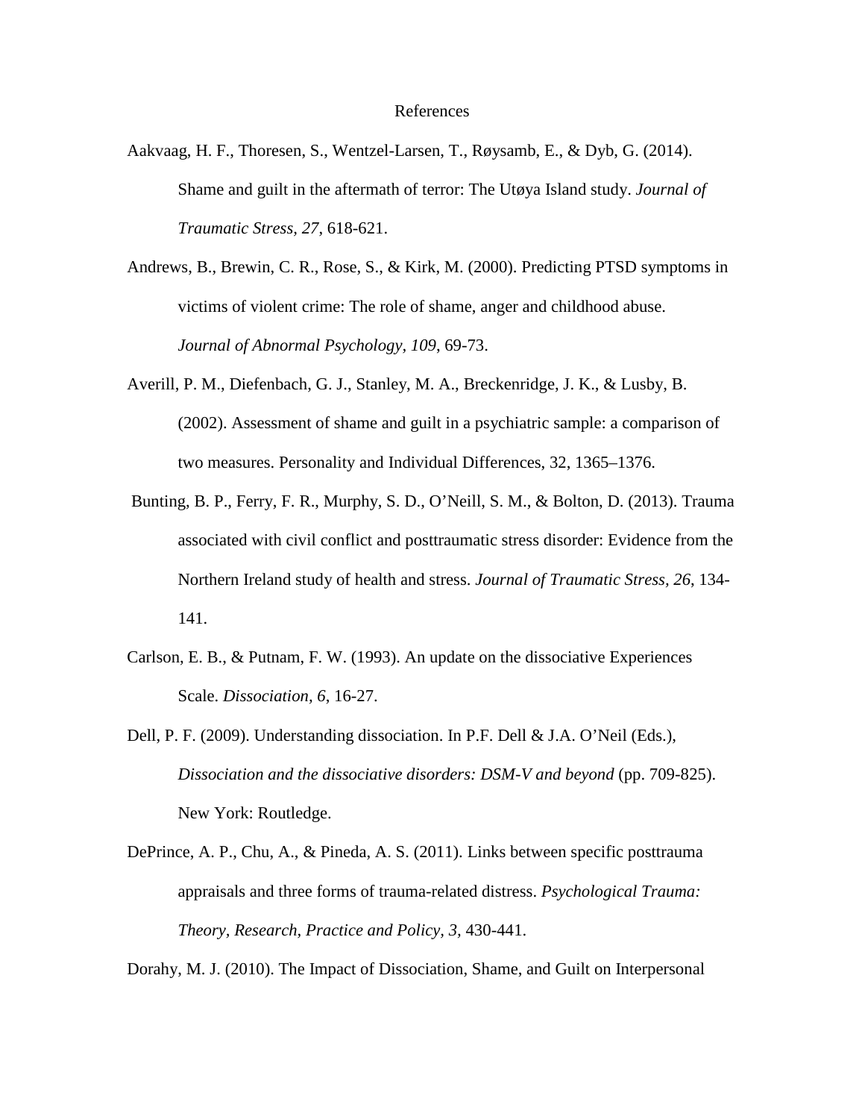## References

- Aakvaag, H. F., Thoresen, S., Wentzel-Larsen, T., Røysamb, E., & Dyb, G. (2014). Shame and guilt in the aftermath of terror: The Utøya Island study. *Journal of Traumatic Stress, 27*, 618-621.
- Andrews, B., Brewin, C. R., Rose, S., & Kirk, M. (2000). Predicting PTSD symptoms in victims of violent crime: The role of shame, anger and childhood abuse. *Journal of Abnormal Psychology, 109*, 69-73.
- Averill, P. M., Diefenbach, G. J., Stanley, M. A., Breckenridge, J. K., & Lusby, B. (2002). Assessment of shame and guilt in a psychiatric sample: a comparison of two measures. Personality and Individual Differences, 32, 1365–1376.
- Bunting, B. P., Ferry, F. R., Murphy, S. D., O'Neill, S. M., & Bolton, D. (2013). Trauma associated with civil conflict and posttraumatic stress disorder: Evidence from the Northern Ireland study of health and stress. *Journal of Traumatic Stress, 26*, 134- 141.
- Carlson, E. B., & Putnam, F. W. (1993). An update on the dissociative Experiences Scale. *Dissociation, 6*, 16-27.
- Dell, P. F. (2009). Understanding dissociation. In P.F. Dell & J.A. O'Neil (Eds.), *Dissociation and the dissociative disorders: DSM-V and beyond* (pp. 709-825). New York: Routledge.
- DePrince, A. P., Chu, A., & Pineda, A. S. (2011). Links between specific posttrauma appraisals and three forms of trauma-related distress. *Psychological Trauma: Theory, Research, Practice and Policy, 3,* 430-441.

Dorahy, M. J. (2010). The Impact of Dissociation, Shame, and Guilt on Interpersonal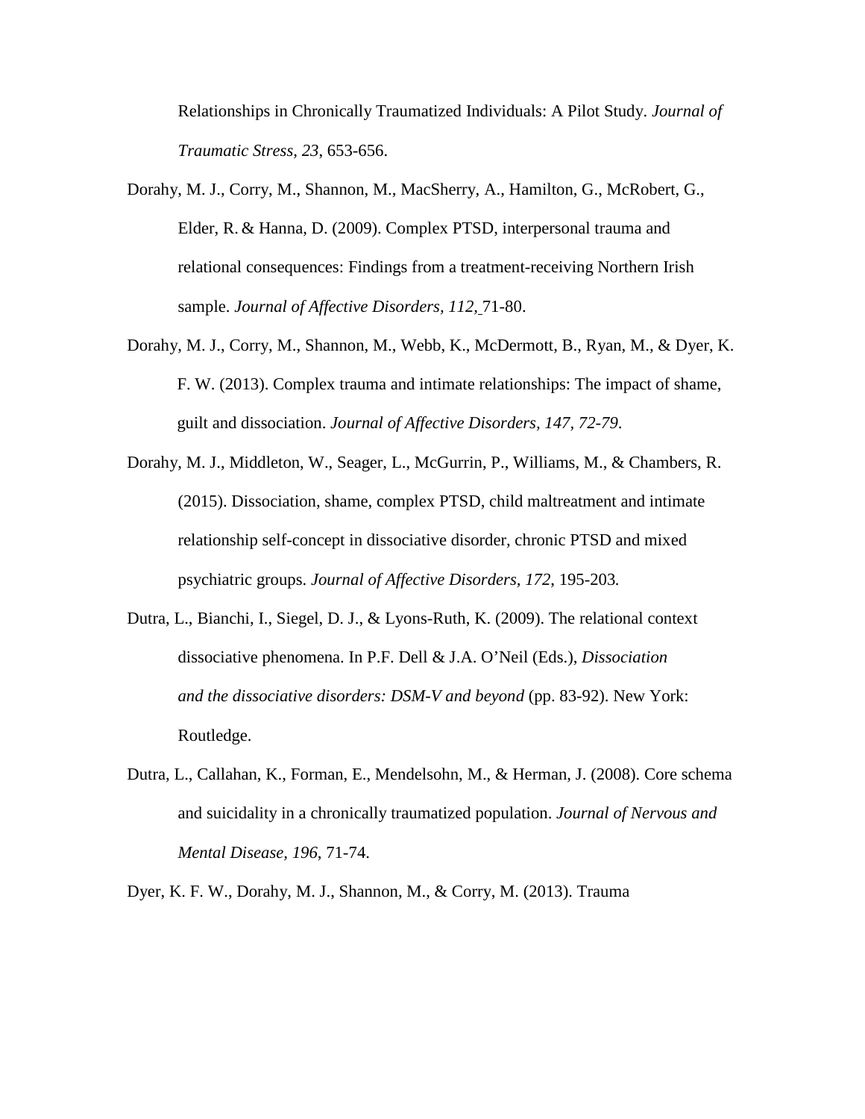Relationships in Chronically Traumatized Individuals: A Pilot Study. *Journal of Traumatic Stress, 23*, 653-656.

- Dorahy, M. J., Corry, M., Shannon, M., MacSherry, A., Hamilton, G., McRobert, G., Elder, R. & Hanna, D. (2009). Complex PTSD, interpersonal trauma and relational consequences: Findings from a treatment-receiving Northern Irish sample. *Journal of Affective Disorders, 112,* 71-80.
- Dorahy, M. J., Corry, M., Shannon, M., Webb, K., McDermott, B., Ryan, M., & Dyer, K. F. W. (2013). Complex trauma and intimate relationships: The impact of shame, guilt and dissociation. *Journal of Affective Disorders, 147, 72-79*.
- Dorahy, M. J., Middleton, W., Seager, L., McGurrin, P., Williams, M., & Chambers, R. (2015). Dissociation, shame, complex PTSD, child maltreatment and intimate relationship self-concept in dissociative disorder, chronic PTSD and mixed psychiatric groups. *Journal of Affective Disorders, 172*, 195-203*.*
- Dutra, L., Bianchi, I., Siegel, D. J., & Lyons-Ruth, K. (2009). The relational context dissociative phenomena. In P.F. Dell & J.A. O'Neil (Eds.), *Dissociation and the dissociative disorders: DSM-V and beyond* (pp. 83-92). New York: Routledge.
- Dutra, L., Callahan, K., Forman, E., Mendelsohn, M., & Herman, J. (2008). Core schema and suicidality in a chronically traumatized population. *Journal of Nervous and Mental Disease, 196*, 71-74.

Dyer, K. F. W., Dorahy, M. J., Shannon, M., & Corry, M. (2013). Trauma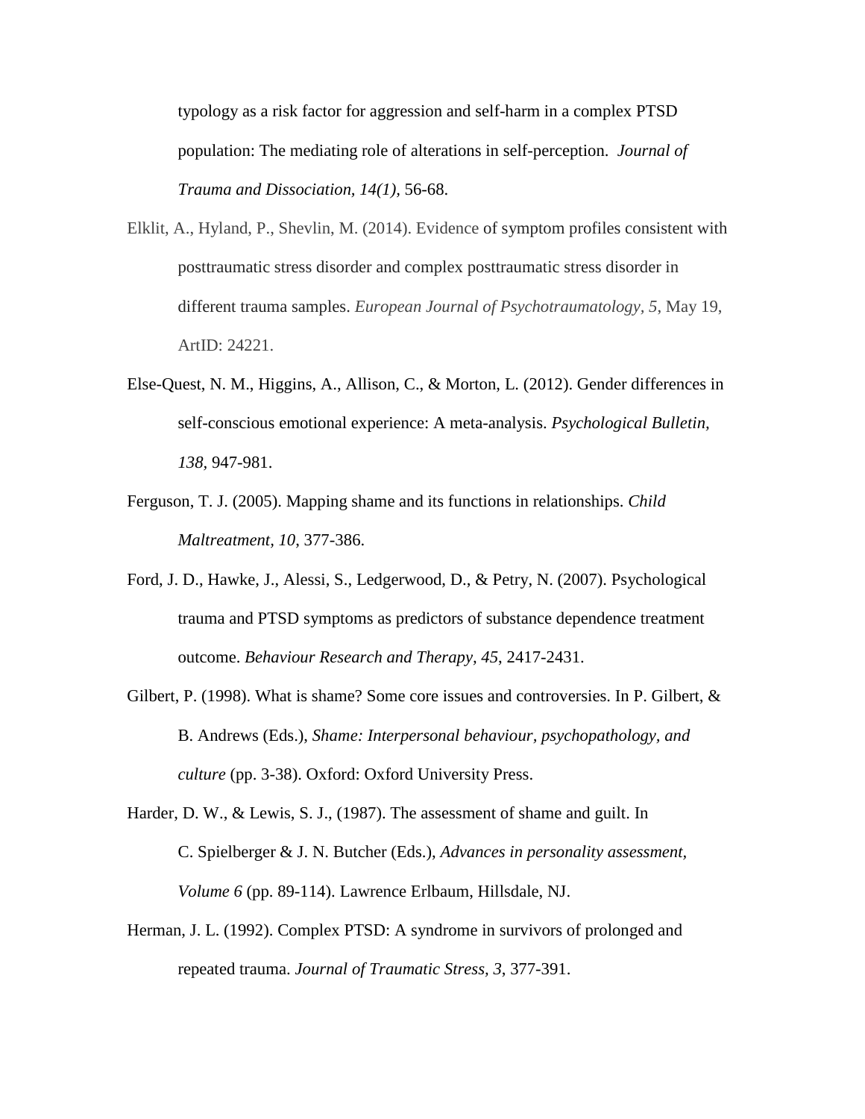typology as a risk factor for aggression and self-harm in a complex PTSD population: The mediating role of alterations in self-perception. *Journal of Trauma and Dissociation, 14(1),* 56-68.

- Elklit, A., Hyland, P., Shevlin, M. (2014). Evidence of symptom profiles consistent with posttraumatic stress disorder and complex posttraumatic stress disorder in different trauma samples. *European Journal of Psychotraumatology, 5*, May 19, ArtID: 24221.
- Else-Quest, N. M., Higgins, A., Allison, C., & Morton, L. (2012). Gender differences in self-conscious emotional experience: A meta-analysis. *Psychological Bulletin, 138,* 947-981.
- Ferguson, T. J. (2005). Mapping shame and its functions in relationships. *Child Maltreatment, 10*, 377-386.
- Ford, J. D., Hawke, J., Alessi, S., Ledgerwood, D., & Petry, N. (2007). Psychological trauma and PTSD symptoms as predictors of substance dependence treatment outcome. *Behaviour Research and Therapy, 45*, 2417-2431.
- Gilbert, P. (1998). What is shame? Some core issues and controversies. In P. Gilbert, & B. Andrews (Eds.), *Shame: Interpersonal behaviour, psychopathology, and culture* (pp. 3-38). Oxford: Oxford University Press.
- Harder, D. W., & Lewis, S. J., (1987). The assessment of shame and guilt. In C. Spielberger & J. N. Butcher (Eds.), *Advances in personality assessment, Volume 6* (pp. 89-114). Lawrence Erlbaum, Hillsdale, NJ.
- Herman, J. L. (1992). Complex PTSD: A syndrome in survivors of prolonged and repeated trauma. *Journal of Traumatic Stress, 3*, 377-391.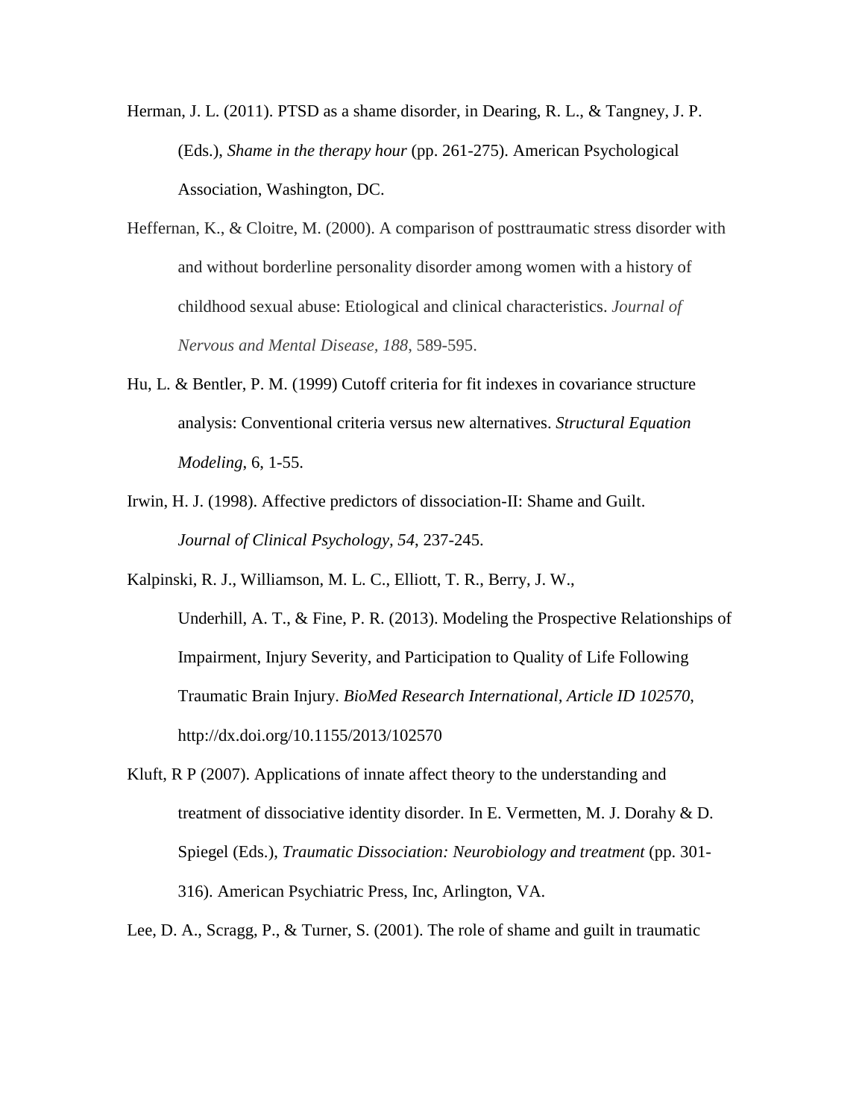Herman, J. L. (2011). PTSD as a shame disorder, in Dearing, R. L., & Tangney, J. P. (Eds.), *Shame in the therapy hour* (pp. 261-275). American Psychological Association, Washington, DC.

- Heffernan, K., & Cloitre, M. (2000). A comparison of posttraumatic stress disorder with and without borderline personality disorder among women with a history of childhood sexual abuse: Etiological and clinical characteristics. *Journal of Nervous and Mental Disease, 188*, 589-595.
- Hu, L. & Bentler, P. M. (1999) Cutoff criteria for fit indexes in covariance structure analysis: Conventional criteria versus new alternatives. *Structural Equation Modeling*, 6, 1-55.
- Irwin, H. J. (1998). Affective predictors of dissociation-II: Shame and Guilt. *Journal of Clinical Psychology, 54*, 237-245.
- Kalpinski, R. J., Williamson, M. L. C., Elliott, T. R., Berry, J. W., Underhill, A. T., & Fine, P. R. (2013). Modeling the Prospective Relationships of Impairment, Injury Severity, and Participation to Quality of Life Following Traumatic Brain Injury. *BioMed Research International, Article ID 102570*, http://dx.doi.org/10.1155/2013/102570
- Kluft, R P (2007). Applications of innate affect theory to the understanding and treatment of dissociative identity disorder. In E. Vermetten, M. J. Dorahy & D. Spiegel (Eds.), *Traumatic Dissociation: Neurobiology and treatment* (pp. 301- 316). American Psychiatric Press, Inc, Arlington, VA.
- Lee, D. A., Scragg, P., & Turner, S. (2001). The role of shame and guilt in traumatic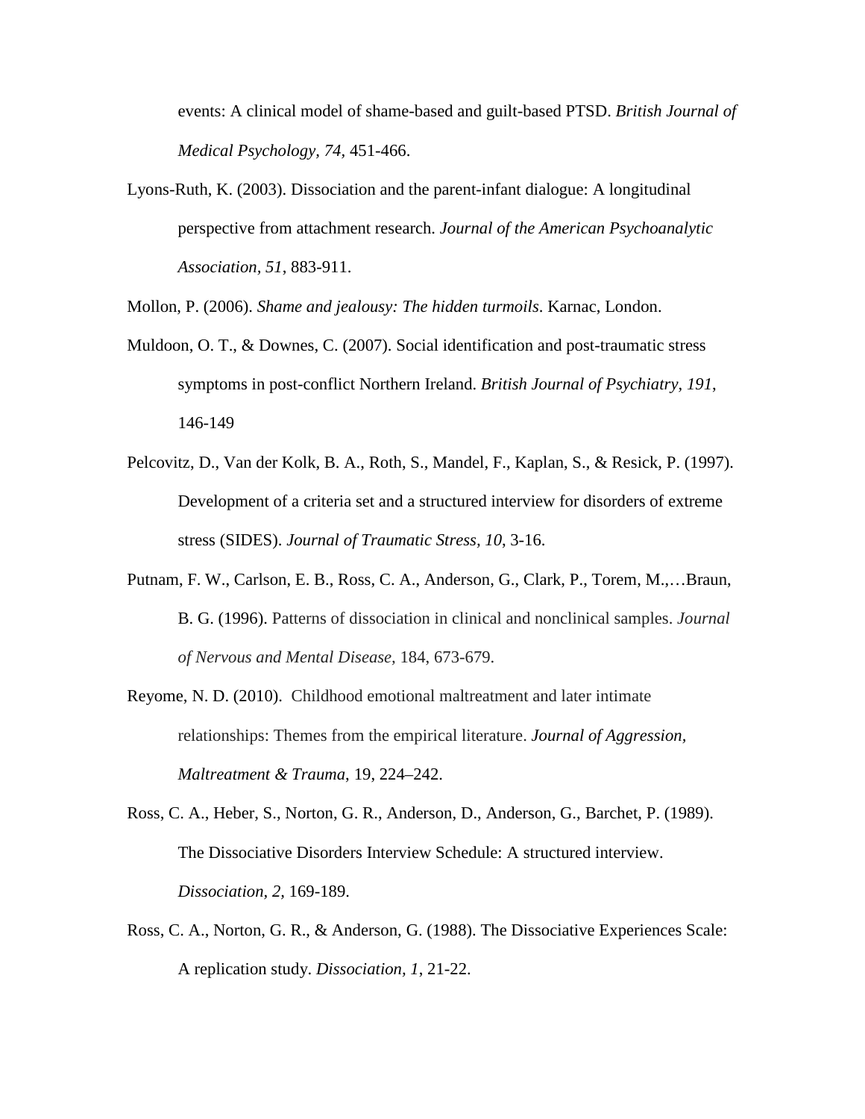events: A clinical model of shame-based and guilt-based PTSD. *British Journal of Medical Psychology, 74,* 451-466.

Lyons-Ruth, K. (2003). Dissociation and the parent-infant dialogue: A longitudinal perspective from attachment research. *Journal of the American Psychoanalytic Association, 51*, 883-911.

Mollon, P. (2006). *Shame and jealousy: The hidden turmoils*. Karnac, London.

- Muldoon, O. T., & Downes, C. (2007). Social identification and post-traumatic stress symptoms in post-conflict Northern Ireland. *British Journal of Psychiatry, 191*, 146-149
- Pelcovitz, D., Van der Kolk, B. A., Roth, S., Mandel, F., Kaplan, S., & Resick, P. (1997). Development of a criteria set and a structured interview for disorders of extreme stress (SIDES). *Journal of Traumatic Stress, 10*, 3-16.
- Putnam, F. W., Carlson, E. B., Ross, C. A., Anderson, G., Clark, P., Torem, M.,…Braun, B. G. (1996). Patterns of dissociation in clinical and nonclinical samples. *Journal of Nervous and Mental Disease,* 184, 673-679.
- Reyome, N. D. (2010). Childhood emotional maltreatment and later intimate relationships: Themes from the empirical literature. *Journal of Aggression, Maltreatment & Trauma*, 19, 224–242.
- Ross, C. A., Heber, S., Norton, G. R., Anderson, D., Anderson, G., Barchet, P. (1989). The Dissociative Disorders Interview Schedule: A structured interview. *Dissociation, 2,* 169-189.
- Ross, C. A., Norton, G. R., & Anderson, G. (1988). The Dissociative Experiences Scale: A replication study. *Dissociation, 1*, 21-22.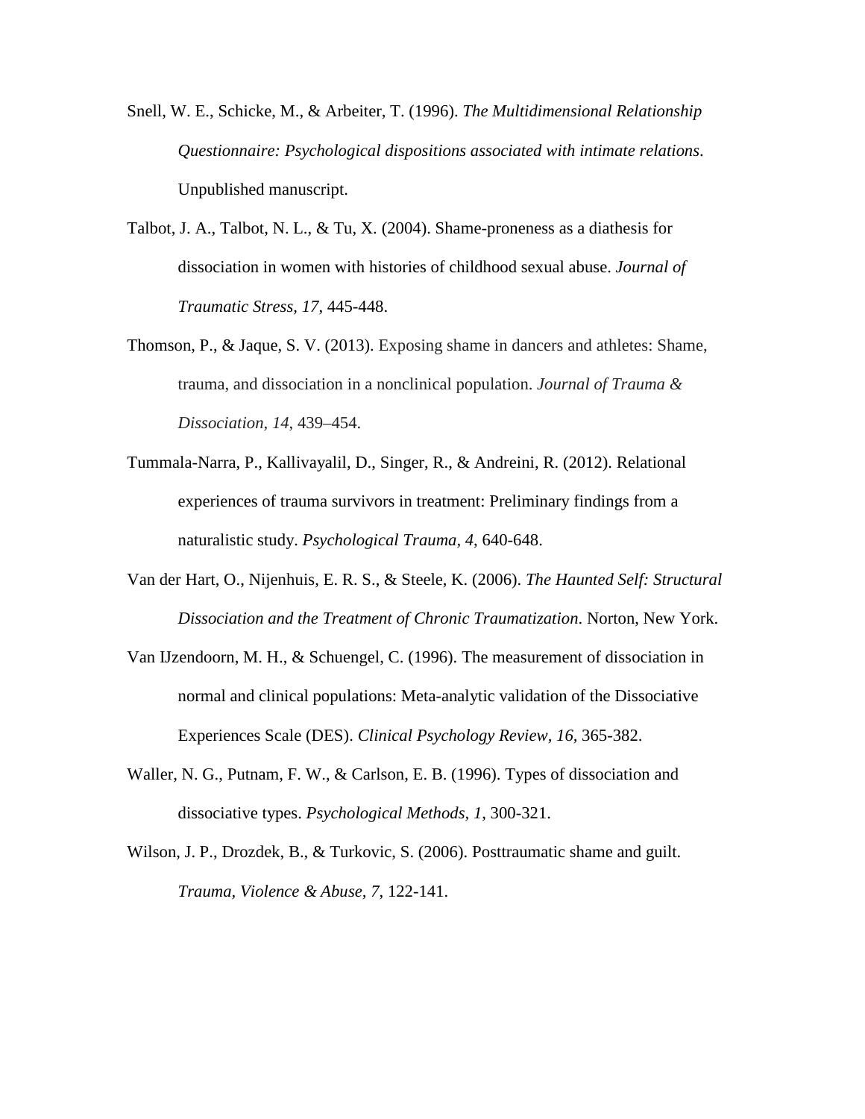- Snell, W. E., Schicke, M., & Arbeiter, T. (1996). *The Multidimensional Relationship Questionnaire: Psychological dispositions associated with intimate relations*. Unpublished manuscript.
- Talbot, J. A., Talbot, N. L., & Tu, X. (2004). Shame-proneness as a diathesis for dissociation in women with histories of childhood sexual abuse. *Journal of Traumatic Stress, 17*, 445-448.
- Thomson, P., & Jaque, S. V. (2013). Exposing shame in dancers and athletes: Shame, trauma, and dissociation in a nonclinical population. *Journal of Trauma & Dissociation, 14*, 439–454.
- Tummala-Narra, P., Kallivayalil, D., Singer, R., & Andreini, R. (2012). Relational experiences of trauma survivors in treatment: Preliminary findings from a naturalistic study. *Psychological Trauma, 4*, 640-648.
- Van der Hart, O., Nijenhuis, E. R. S., & Steele, K. (2006). *The Haunted Self: Structural Dissociation and the Treatment of Chronic Traumatization*. Norton, New York.
- Van IJzendoorn, M. H., & Schuengel, C. (1996). The measurement of dissociation in normal and clinical populations: Meta-analytic validation of the Dissociative Experiences Scale (DES). *Clinical Psychology Review, 16,* 365-382.
- Waller, N. G., Putnam, F. W., & Carlson, E. B. (1996). Types of dissociation and dissociative types. *Psychological Methods, 1*, 300-321.
- Wilson, J. P., Drozdek, B., & Turkovic, S. (2006). Posttraumatic shame and guilt. *Trauma, Violence & Abuse, 7*, 122-141.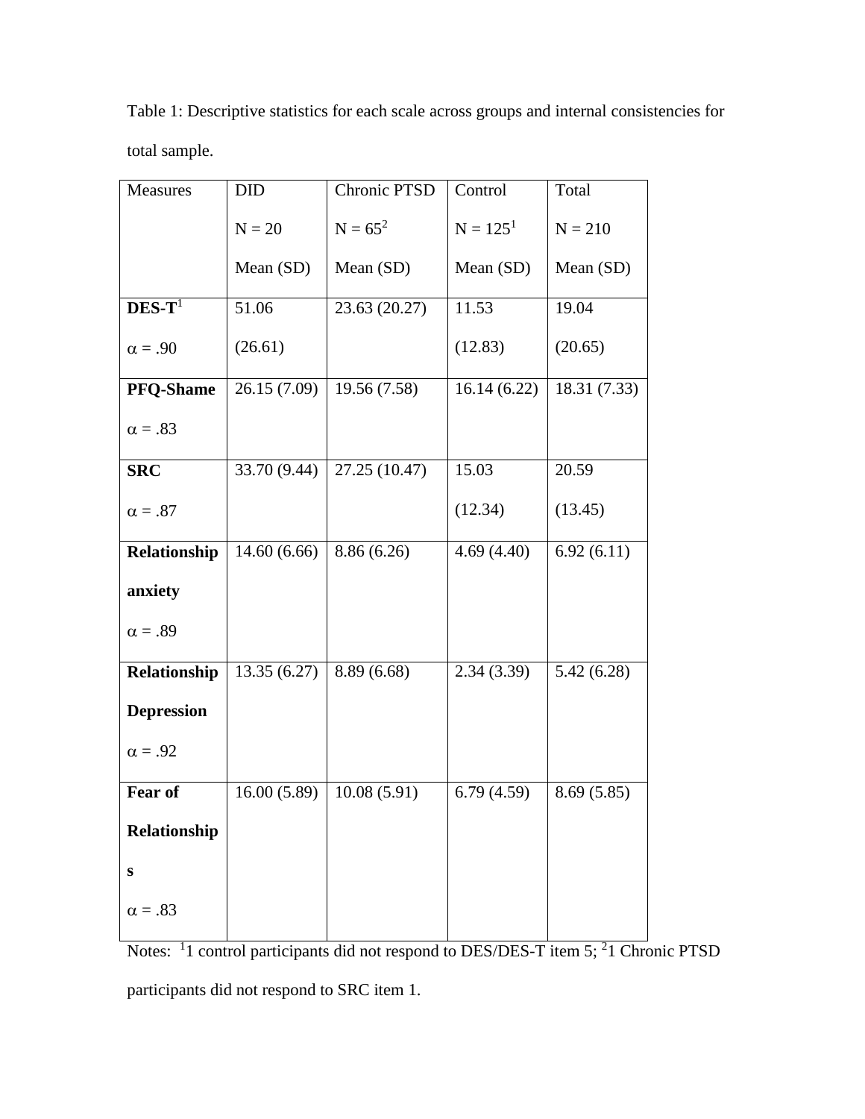Table 1: Descriptive statistics for each scale across groups and internal consistencies for total sample.

| Measures          | <b>DID</b>   | <b>Chronic PTSD</b> | Control     | Total        |
|-------------------|--------------|---------------------|-------------|--------------|
|                   | $N = 20$     | $N = 65^2$          | $N = 1251$  | $N = 210$    |
|                   | Mean (SD)    | Mean (SD)           | Mean (SD)   | Mean (SD)    |
| $DES-T1$          | 51.06        | 23.63 (20.27)       | 11.53       | 19.04        |
| $\alpha = .90$    | (26.61)      |                     | (12.83)     | (20.65)      |
| <b>PFQ-Shame</b>  | 26.15(7.09)  | 19.56 (7.58)        | 16.14(6.22) | 18.31 (7.33) |
| $\alpha = .83$    |              |                     |             |              |
| <b>SRC</b>        | 33.70 (9.44) | 27.25 (10.47)       | 15.03       | 20.59        |
| $\alpha = .87$    |              |                     | (12.34)     | (13.45)      |
| Relationship      | 14.60(6.66)  | 8.86 (6.26)         | 4.69(4.40)  | 6.92(6.11)   |
| anxiety           |              |                     |             |              |
| $\alpha = .89$    |              |                     |             |              |
| Relationship      | 13.35(6.27)  | 8.89(6.68)          | 2.34(3.39)  | 5.42(6.28)   |
| <b>Depression</b> |              |                     |             |              |
| $\alpha = .92$    |              |                     |             |              |
| Fear of           | 16.00(5.89)  | 10.08(5.91)         | 6.79(4.59)  | 8.69(5.85)   |
| Relationship      |              |                     |             |              |
| S                 |              |                     |             |              |
| $\alpha = .83$    |              |                     |             |              |

Notes: <sup>1</sup>1 control participants did not respond to DES/DES-T item 5; <sup>2</sup>1 Chronic PTSD participants did not respond to SRC item 1.